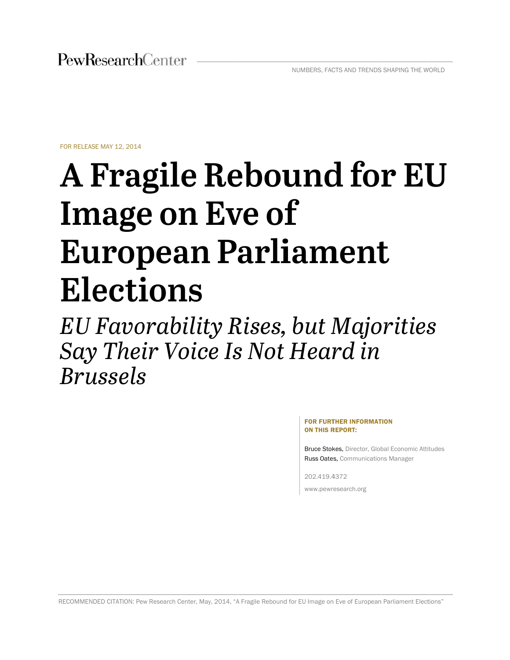FOR RELEAS E MAY 12, 2014

# $\bf{A}$  Fragile Rebound for EU **Im mage e on n Ev ve of** Image on Eve of<br>European Parliament  $\bf{Elections}$

*EU Favo orabil lity R Rises, but M Majo orities sSay Their Voice Is Not Heard in Brussels* 

> FOR FURTHER INFORMATION ON THIS R REPORT:

Bruce Stokes, Director, Global Economic Attitudes Russ Oates, Communications Manager

202.419.4 4372 www.pewr esearch.org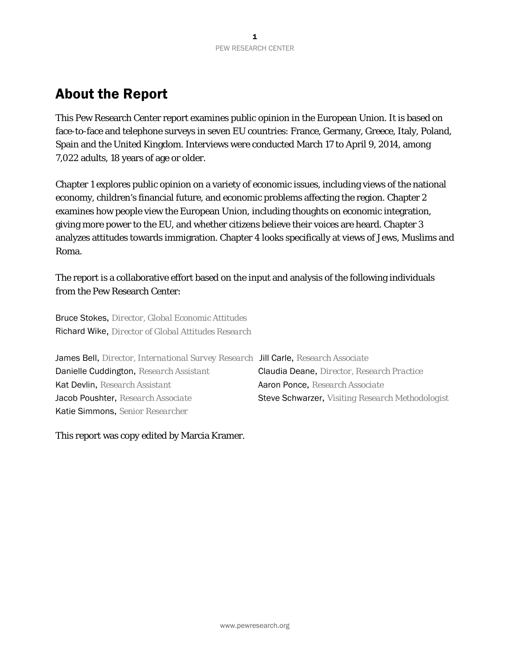# About the Report

This Pew Research Center report examines public opinion in the European Union. It is based on face-to-face and telephone surveys in seven EU countries: France, Germany, Greece, Italy, Poland, Spain and the United Kingdom. Interviews were conducted March 17 to April 9, 2014, among 7,022 adults, 18 years of age or older.

Chapter 1 explores public opinion on a variety of economic issues, including views of the national economy, children's financial future, and economic problems affecting the region. Chapter 2 examines how people view the European Union, including thoughts on economic integration, giving more power to the EU, and whether citizens believe their voices are heard. Chapter 3 analyzes attitudes towards immigration. Chapter 4 looks specifically at views of Jews, Muslims and Roma.

The report is a collaborative effort based on the input and analysis of the following individuals from the Pew Research Center:

Bruce Stokes, *Director, Global Economic Attitudes*  Richard Wike, *Director of Global Attitudes Research* 

| James Bell, Director, International Survey Research Jill Carle, Research Associate |                                                  |
|------------------------------------------------------------------------------------|--------------------------------------------------|
| Danielle Cuddington, Research Assistant                                            | Claudia Deane, Director, Research Practice       |
| Kat Devlin, Research Assistant                                                     | Aaron Ponce, Research Associate                  |
| Jacob Poushter, Research Associate                                                 | Steve Schwarzer, Visiting Research Methodologist |
| Katie Simmons, Senior Researcher                                                   |                                                  |

This report was copy edited by Marcia Kramer.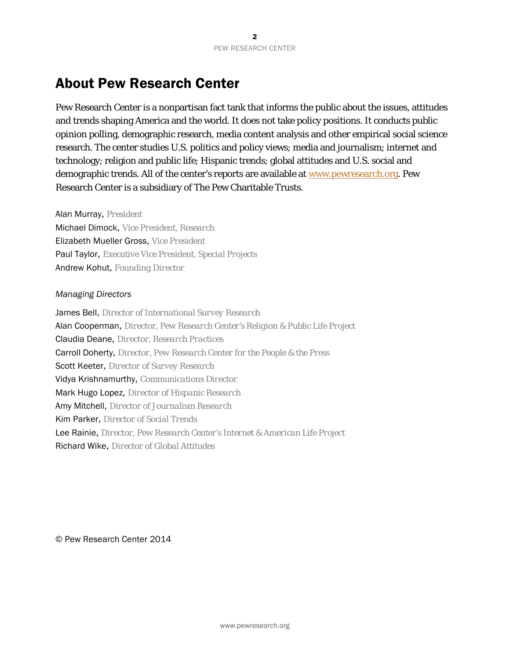# About Pew Research Center

Pew Research Center is a nonpartisan fact tank that informs the public about the issues, attitudes and trends shaping America and the world. It does not take policy positions. It conducts public opinion polling, demographic research, media content analysis and other empirical social science research. The center studies U.S. politics and policy views; media and journalism; internet and technology; religion and public life; Hispanic trends; global attitudes and U.S. social and demographic trends. All of the center's reports are available at www.pewresearch.org. Pew Research Center is a subsidiary of The Pew Charitable Trusts.

Alan Murray, *President*

Michael Dimock, *Vice President, Research*  Elizabeth Mueller Gross, *Vice President*  Paul Taylor, *Executive Vice President, Special Projects* Andrew Kohut, *Founding Director* 

#### *Managing Directors*

James Bell, *Director of International Survey Research*  Alan Cooperman, *Director, Pew Research Center's Religion & Public Life Project* Claudia Deane, *Director, Research Practices* Carroll Doherty, *Director, Pew Research Center for the People & the Press* Scott Keeter, *Director of Survey Research* Vidya Krishnamurthy, *Communications Director*  Mark Hugo Lopez, *Director of Hispanic Research*  Amy Mitchell, *Director of Journalism Research*  Kim Parker, *Director of Social Trends*  Lee Rainie, *Director, Pew Research Center's Internet & American Life Project* Richard Wike, *Director of Global Attitudes*

© Pew Research Center 2014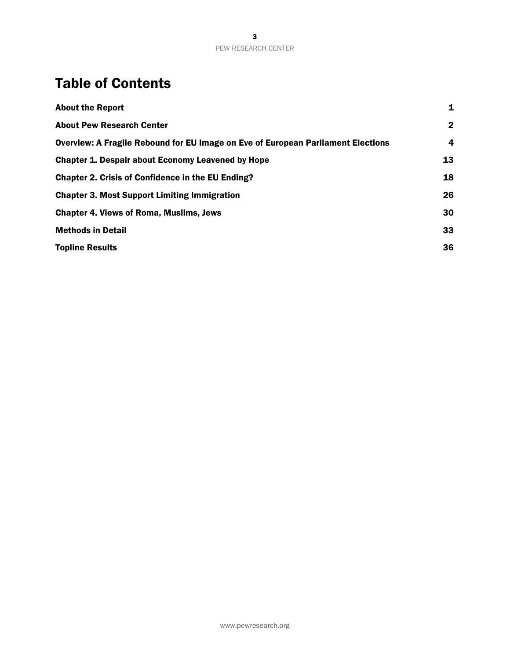# Table of Contents

| <b>About the Report</b>                                                          | 1              |
|----------------------------------------------------------------------------------|----------------|
| <b>About Pew Research Center</b>                                                 | $\overline{2}$ |
| Overview: A Fragile Rebound for EU Image on Eve of European Parliament Elections | 4              |
| <b>Chapter 1. Despair about Economy Leavened by Hope</b>                         | 13             |
| <b>Chapter 2. Crisis of Confidence in the EU Ending?</b>                         | 18             |
| <b>Chapter 3. Most Support Limiting Immigration</b>                              | 26             |
| <b>Chapter 4. Views of Roma, Muslims, Jews</b>                                   | 30             |
| <b>Methods in Detail</b>                                                         | 33             |
| <b>Topline Results</b>                                                           | 36             |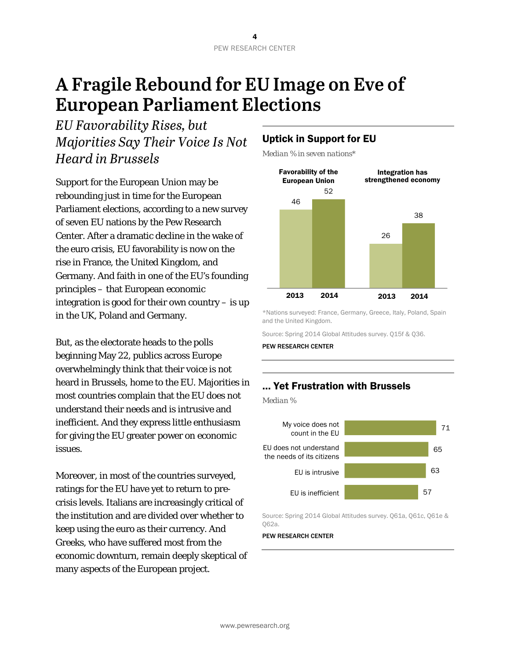# **A Fragile Rebound for EU Image on Eve of European Parliament Elections**

*EU Favorability Rises, but Majorities Say Their Voice Is Not Heard in Brussels* 

Support for the European Union may be rebounding just in time for the European Parliament elections, according to a new survey of seven EU nations by the Pew Research Center. After a dramatic decline in the wake of the euro crisis, EU favorability is now on the rise in France, the United Kingdom, and Germany. And faith in one of the EU's founding principles – that European economic integration is good for their own country – is up in the UK, Poland and Germany.

But, as the electorate heads to the polls beginning May 22, publics across Europe overwhelmingly think that their voice is not heard in Brussels, home to the EU. Majorities in most countries complain that the EU does not understand their needs and is intrusive and inefficient. And they express little enthusiasm for giving the EU greater power on economic issues.

Moreover, in most of the countries surveyed, ratings for the EU have yet to return to precrisis levels. Italians are increasingly critical of the institution and are divided over whether to keep using the euro as their currency. And Greeks, who have suffered most from the economic downturn, remain deeply skeptical of many aspects of the European project.

## Uptick in Support for EU

*Median % in seven nations\** 



\*Nations surveyed: France, Germany, Greece, Italy, Poland, Spain and the United Kingdom.

Source: Spring 2014 Global Attitudes survey. Q15f & Q36.

PEW RESEARCH CENTER

#### … Yet Frustration with Brussels

*Median %* 



Source: Spring 2014 Global Attitudes survey. Q61a, Q61c, Q61e & Q62a.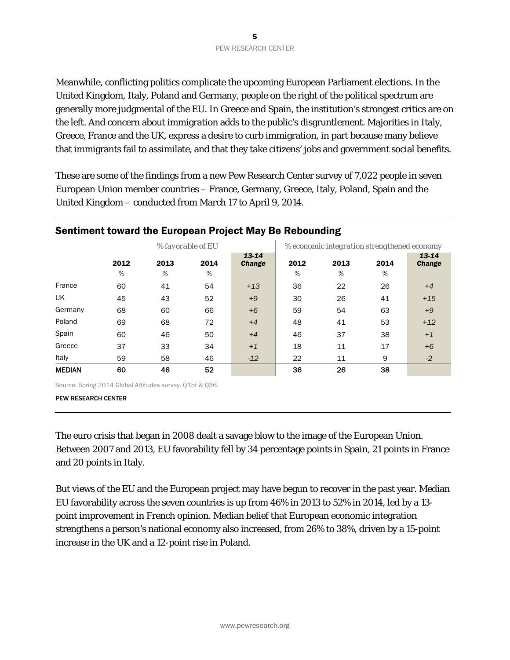Meanwhile, conflicting politics complicate the upcoming European Parliament elections. In the United Kingdom, Italy, Poland and Germany, people on the right of the political spectrum are generally more judgmental of the EU. In Greece and Spain, the institution's strongest critics are on the left. And concern about immigration adds to the public's disgruntlement. Majorities in Italy, Greece, France and the UK, express a desire to curb immigration, in part because many believe that immigrants fail to assimilate, and that they take citizens' jobs and government social benefits.

These are some of the findings from a new Pew Research Center survey of 7,022 people in seven European Union member countries – France, Germany, Greece, Italy, Poland, Spain and the United Kingdom – conducted from March 17 to April 9, 2014.

|               | -- -<br>o         |           |           |                        |                                             |           |           |                        |  |
|---------------|-------------------|-----------|-----------|------------------------|---------------------------------------------|-----------|-----------|------------------------|--|
|               | % favorable of EU |           |           |                        | % economic integration strengthened economy |           |           |                        |  |
|               | 2012<br>$\%$      | 2013<br>% | 2014<br>% | 13-14<br><b>Change</b> | 2012<br>%                                   | 2013<br>% | 2014<br>% | 13-14<br><b>Change</b> |  |
| France        | 60                | 41        | 54        | $+13$                  | 36                                          | 22        | 26        | $+4$                   |  |
| UK            | 45                | 43        | 52        | $+9$                   | 30                                          | 26        | 41        | $+15$                  |  |
| Germany       | 68                | 60        | 66        | $+6$                   | 59                                          | 54        | 63        | $+9$                   |  |
| Poland        | 69                | 68        | 72        | $+4$                   | 48                                          | 41        | 53        | $+12$                  |  |
| Spain         | 60                | 46        | 50        | $+4$                   | 46                                          | 37        | 38        | $+1$                   |  |
| Greece        | 37                | 33        | 34        | $+1$                   | 18                                          | 11        | 17        | $+6$                   |  |
| Italy         | 59                | 58        | 46        | $-12$                  | 22                                          | 11        | 9         | $-2$                   |  |
| <b>MEDIAN</b> | 60                | 46        | 52        |                        | 36                                          | 26        | 38        |                        |  |

#### Sentiment toward the European Project May Be Rebounding

Source: Spring 2014 Global Attitudes survey. Q15f & Q36.

PEW RESEARCH CENTER

The euro crisis that began in 2008 dealt a savage blow to the image of the European Union. Between 2007 and 2013, EU favorability fell by 34 percentage points in Spain, 21 points in France and 20 points in Italy.

But views of the EU and the European project may have begun to recover in the past year. Median EU favorability across the seven countries is up from 46% in 2013 to 52% in 2014, led by a 13 point improvement in French opinion. Median belief that European economic integration strengthens a person's national economy also increased, from 26% to 38%, driven by a 15-point increase in the UK and a 12-point rise in Poland.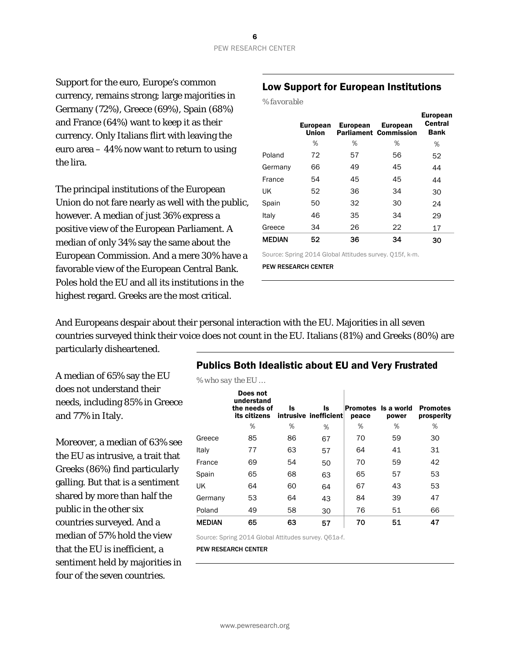Support for the euro, Europe's common currency, remains strong; large majorities in Germany (72%), Greece (69%), Spain (68%) and France (64%) want to keep it as their currency. Only Italians flirt with leaving the euro area – 44% now want to return to using the lira.

The principal institutions of the European Union do not fare nearly as well with the public, however. A median of just 36% express a positive view of the European Parliament. A median of only 34% say the same about the European Commission. And a mere 30% have a favorable view of the European Central Bank. Poles hold the EU and all its institutions in the highest regard. Greeks are the most critical.

#### Low Support for European Institutions

| % favorable |  |
|-------------|--|
|             |  |

|               | <b>European</b><br><b>Union</b> | <b>European</b> | <b>European</b><br><b>Parliament Commission</b> | <b>European</b><br>Central<br><b>Bank</b> |
|---------------|---------------------------------|-----------------|-------------------------------------------------|-------------------------------------------|
|               | %                               | %               | %                                               | %                                         |
| Poland        | 72                              | 57              | 56                                              | 52                                        |
| Germany       | 66                              | 49              | 45                                              | 44                                        |
| France        | 54                              | 45              | 45                                              | 44                                        |
| UK            | 52                              | 36              | 34                                              | 30                                        |
| Spain         | 50                              | 32              | 30                                              | 24                                        |
| Italy         | 46                              | 35              | 34                                              | 29                                        |
| Greece        | 34                              | 26              | 22                                              | 17                                        |
| <b>MEDIAN</b> | 52                              | 36              | 34                                              | 30                                        |

Source: Spring 2014 Global Attitudes survey. Q15f, k-m.

PEW RESEARCH CENTER

And Europeans despair about their personal interaction with the EU. Majorities in all seven countries surveyed think their voice does not count in the EU. Italians (81%) and Greeks (80%) are particularly disheartened.

A median of 65% say the EU does not understand their needs, including 85% in Greece and 77% in Italy.

Moreover, a median of 63% see the EU as intrusive, a trait that Greeks (86%) find particularly galling. But that is a sentiment shared by more than half the public in the other six countries surveyed. And a median of 57% hold the view that the EU is inefficient, a sentiment held by majorities in four of the seven countries.

#### Publics Both Idealistic about EU and Very Frustrated

*% who say the EU …* 

|               | Does not<br>understand<br>the needs of<br>its citizens | ls. | ls<br>intrusive inefficient | peace | Promotes Is a world<br>power | <b>Promotes</b><br>prosperity |
|---------------|--------------------------------------------------------|-----|-----------------------------|-------|------------------------------|-------------------------------|
|               | %                                                      | ℅   | %                           | %     | %                            | %                             |
| Greece        | 85                                                     | 86  | 67                          | 70    | 59                           | 30                            |
| Italy         | 77                                                     | 63  | 57                          | 64    | 41                           | 31                            |
| France        | 69                                                     | 54  | 50                          | 70    | 59                           | 42                            |
| Spain         | 65                                                     | 68  | 63                          | 65    | 57                           | 53                            |
| UK            | 64                                                     | 60  | 64                          | 67    | 43                           | 53                            |
| Germany       | 53                                                     | 64  | 43                          | 84    | 39                           | 47                            |
| Poland        | 49                                                     | 58  | 30                          | 76    | 51                           | 66                            |
| <b>MEDIAN</b> | 65                                                     | 63  | 57                          | 70    | 51                           | 47                            |

Source: Spring 2014 Global Attitudes survey. Q61a-f.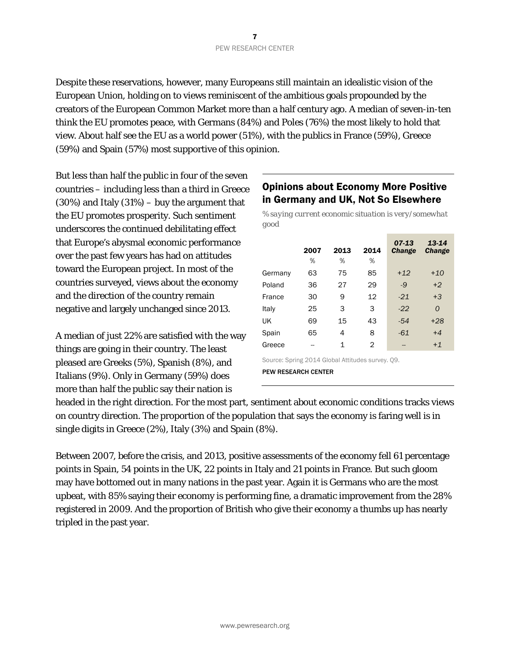Despite these reservations, however, many Europeans still maintain an idealistic vision of the European Union, holding on to views reminiscent of the ambitious goals propounded by the creators of the European Common Market more than a half century ago. A median of seven-in-ten think the EU promotes peace, with Germans (84%) and Poles (76%) the most likely to hold that view. About half see the EU as a world power (51%), with the publics in France (59%), Greece (59%) and Spain (57%) most supportive of this opinion.

But less than half the public in four of the seven countries – including less than a third in Greece  $(30\%)$  and Italy  $(31\%)$  – buy the argument that the EU promotes prosperity. Such sentiment underscores the continued debilitating effect that Europe's abysmal economic performance over the past few years has had on attitudes toward the European project. In most of the countries surveyed, views about the economy and the direction of the country remain negative and largely unchanged since 2013.

A median of just 22% are satisfied with the way things are going in their country. The least pleased are Greeks (5%), Spanish (8%), and Italians (9%). Only in Germany (59%) does more than half the public say their nation is

#### Opinions about Economy More Positive in Germany and UK, Not So Elsewhere

*% saying current economic situation is very/somewhat good* 

|                                                 | 2007 | 2013 | 2014 | $07-13$<br><b>Change</b> | 13-14<br><b>Change</b> |
|-------------------------------------------------|------|------|------|--------------------------|------------------------|
|                                                 | %    | %    | %    |                          |                        |
| Germany                                         | 63   | 75   | 85   | $+12$                    | $+10$                  |
| Poland                                          | 36   | 27   | 29   | $-9$                     | $+2$                   |
| France                                          | 30   | 9    | 12   | $-21$                    | $+3$                   |
| Italy                                           | 25   | 3    | 3    | $-22$                    | $\Omega$               |
| UK                                              | 69   | 15   | 43   | $-54$                    | $+28$                  |
| Spain                                           | 65   | 4    | 8    | $-61$                    | $+4$                   |
| Greece                                          | --   | 1    | 2    | --                       | $+1$                   |
| Course Coving 0011 Clabel Attitudes superior 00 |      |      |      |                          |                        |

Source: Spring 2014 Global Attitudes survey. Q9. PEW RESEARCH CENTER

headed in the right direction. For the most part, sentiment about economic conditions tracks views on country direction. The proportion of the population that says the economy is faring well is in single digits in Greece (2%), Italy (3%) and Spain (8%).

Between 2007, before the crisis, and 2013, positive assessments of the economy fell 61 percentage points in Spain, 54 points in the UK, 22 points in Italy and 21 points in France. But such gloom may have bottomed out in many nations in the past year. Again it is Germans who are the most upbeat, with 85% saying their economy is performing fine, a dramatic improvement from the 28% registered in 2009. And the proportion of British who give their economy a thumbs up has nearly tripled in the past year.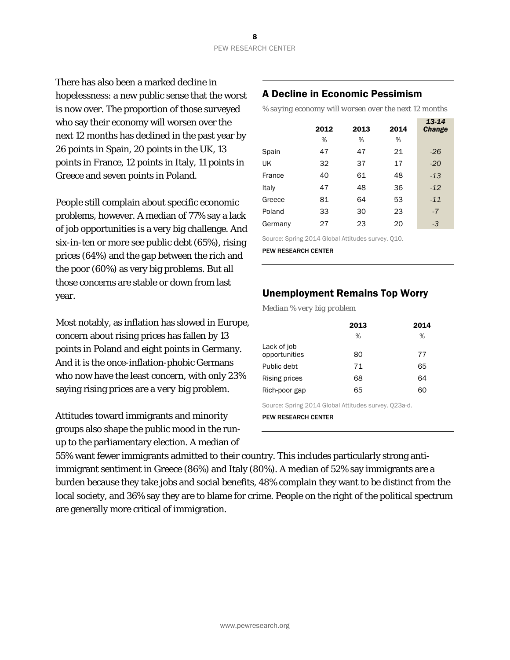There has also been a marked decline in hopelessness: a new public sense that the worst is now over. The proportion of those surveyed who say their economy will worsen over the next 12 months has declined in the past year by 26 points in Spain, 20 points in the UK, 13 points in France, 12 points in Italy, 11 points in Greece and seven points in Poland.

People still complain about specific economic problems, however. A median of 77% say a lack of job opportunities is a very big challenge. And six-in-ten or more see public debt (65%), rising prices (64%) and the gap between the rich and the poor (60%) as very big problems. But all those concerns are stable or down from last year.

Most notably, as inflation has slowed in Europe, concern about rising prices has fallen by 13 points in Poland and eight points in Germany. And it is the once-inflation-phobic Germans who now have the least concern, with only 23% saying rising prices are a *very* big problem.

Attitudes toward immigrants and minority groups also shape the public mood in the runup to the parliamentary election. A median of

### A Decline in Economic Pessimism

*% saying economy will worsen over the next 12 months* 

| 2012 | 2013 | 2014 | 13-14<br><b>Change</b> |
|------|------|------|------------------------|
| %    | %    | %    |                        |
| 47   | 47   | 21   | $-26$                  |
| 32   | 37   | 17   | $-20$                  |
| 40   | 61   | 48   | $-13$                  |
| 47   | 48   | 36   | $-12$                  |
| 81   | 64   | 53   | $-11$                  |
| 33   | 30   | 23   | $-7$                   |
| 27   | 23   | 20   | -3                     |
|      |      |      |                        |

Source: Spring 2014 Global Attitudes survey. Q10.

PEW RESEARCH CENTER

#### Unemployment Remains Top Worry

*Median % very big problem* 

|                              | 2013 | 2014 |
|------------------------------|------|------|
|                              | %    | %    |
| Lack of job<br>opportunities | 80   | 77   |
| Public debt                  | 71   | 65   |
| Rising prices                | 68   | 64   |
| Rich-poor gap                | 65   | 60   |

Source: Spring 2014 Global Attitudes survey. Q23a-d.

PEW RESEARCH CENTER

55% want fewer immigrants admitted to their country. This includes particularly strong antiimmigrant sentiment in Greece (86%) and Italy (80%). A median of 52% say immigrants are a burden because they take jobs and social benefits, 48% complain they want to be distinct from the local society, and 36% say they are to blame for crime. People on the right of the political spectrum are generally more critical of immigration.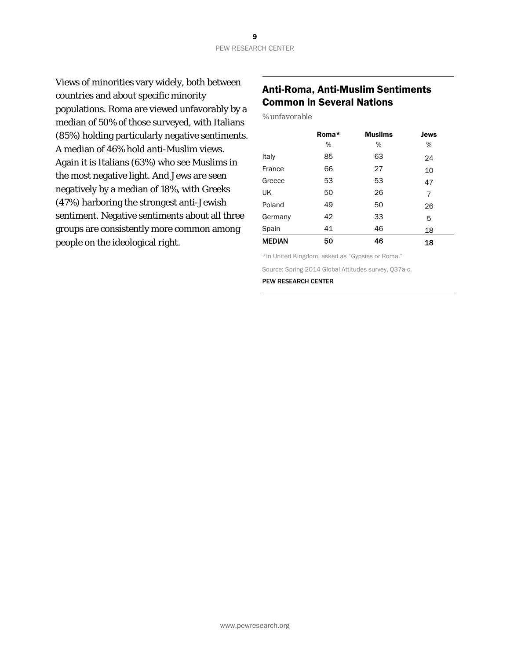Views of minorities vary widely, both between countries and about specific minority populations. Roma are viewed unfavorably by a median of 50% of those surveyed, with Italians (85%) holding particularly negative sentiments. A median of 46% hold anti-Muslim views. Again it is Italians (63%) who see Muslims in the most negative light. And Jews are seen negatively by a median of 18%, with Greeks (47%) harboring the strongest anti-Jewish sentiment. Negative sentiments about all three groups are consistently more common among people on the ideological right.

## Anti-Roma, Anti-Muslim Sentiments Common in Several Nations

*% unfavorable* 

|               | Roma* | <b>Muslims</b> | <b>Jews</b> |
|---------------|-------|----------------|-------------|
|               | %     | %              | %           |
| Italy         | 85    | 63             | 24          |
| France        | 66    | 27             | 10          |
| Greece        | 53    | 53             | 47          |
| UK            | 50    | 26             | 7           |
| Poland        | 49    | 50             | 26          |
| Germany       | 42    | 33             | 5           |
| Spain         | 41    | 46             | 18          |
| <b>MEDIAN</b> | 50    | 46             | 18          |

\*In United Kingdom, asked as "Gypsies or Roma."

Source: Spring 2014 Global Attitudes survey. Q37a-c.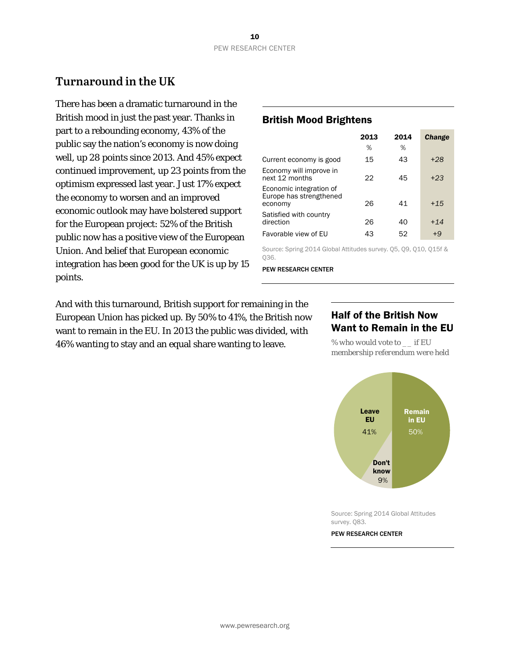# **Turnaround in the UK**

There has been a dramatic turnaround in the British mood in just the past year. Thanks in part to a rebounding economy, 43% of the public say the nation's economy is now doing well, up 28 points since 2013. And 45% expect continued improvement, up 23 points from the optimism expressed last year. Just 17% expect the economy to worsen and an improved economic outlook may have bolstered support for the European project: 52% of the British public now has a positive view of the European Union. And belief that European economic integration has been good for the UK is up by 15 points.

#### British Mood Brightens

|                                                               | 2013 | 2014 | <b>Change</b> |
|---------------------------------------------------------------|------|------|---------------|
|                                                               | %    | %    |               |
| Current economy is good                                       | 15   | 43   | $+28$         |
| Economy will improve in<br>next 12 months                     | 22   | 45   | $+23$         |
| Economic integration of<br>Europe has strengthened<br>economy | 26   | 41   | $+15$         |
| Satisfied with country<br>direction                           | 26   | 40   | $+14$         |
| Favorable view of EU                                          | 43   | 52   | $+9$          |
|                                                               |      |      |               |

Source: Spring 2014 Global Attitudes survey. Q5, Q9, Q10, Q15f & Q36.

PEW RESEARCH CENTER

And with this turnaround, British support for remaining in the European Union has picked up. By 50% to 41%, the British now want to remain in the EU. In 2013 the public was divided, with 46% wanting to stay and an equal share wanting to leave.

#### Half of the British Now Want to Remain in the EU

*% who would vote to \_\_ if EU membership referendum were held* 



Source: Spring 2014 Global Attitudes survey. Q83.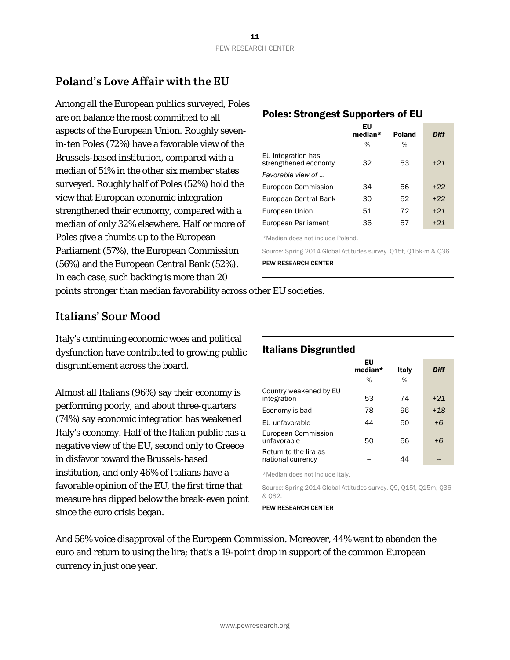# **Poland's Love Affair with the EU**

Among all the European publics surveyed, Poles are on balance the most committed to all aspects of the European Union. Roughly sevenin-ten Poles (72%) have a favorable view of the Brussels-based institution, compared with a median of 51% in the other six member states surveyed. Roughly half of Poles (52%) hold the view that European economic integration strengthened their economy, compared with a median of only 32% elsewhere. Half or more of Poles give a thumbs up to the European Parliament (57%), the European Commission (56%) and the European Central Bank (52%). In each case, such backing is more than 20

# Poles: Strongest Supporters of EU

|                                            | EU<br>median* | <b>Poland</b> | <b>Diff</b> |  |
|--------------------------------------------|---------------|---------------|-------------|--|
|                                            | %             | %             |             |  |
| EU integration has<br>strengthened economy | 32            | 53            | $+21$       |  |
| Favorable view of                          |               |               |             |  |
| European Commission                        | 34            | 56            | $+22$       |  |
| European Central Bank                      | 30            | 52            | $+22$       |  |
| European Union                             | 51            | 72            | $+21$       |  |
| European Parliament                        | 36            | 57            | $+21$       |  |
|                                            |               |               |             |  |

\*Median does not include Poland.

Source: Spring 2014 Global Attitudes survey. Q15f, Q15k-m & Q36. PEW RESEARCH CENTER

points stronger than median favorability across other EU societies.

# **Italians' Sour Mood**

Italy's continuing economic woes and political dysfunction have contributed to growing public disgruntlement across the board.

Almost all Italians (96%) say their economy is performing poorly, and about three-quarters (74%) say economic integration has weakened Italy's economy. Half of the Italian public has a negative view of the EU, second only to Greece in disfavor toward the Brussels-based institution, and only 46% of Italians have a favorable opinion of the EU, the first time that measure has dipped below the break-even point since the euro crisis began.

# Italians Disgruntled

|                                            | EU<br>median* | Italy | Diff  |  |
|--------------------------------------------|---------------|-------|-------|--|
|                                            | %             | %     |       |  |
| Country weakened by EU<br>integration      | 53            | 74    | $+21$ |  |
| Economy is bad                             | 78            | 96    | $+18$ |  |
| EU unfavorable                             | 44            | 50    | $+6$  |  |
| European Commission<br>unfavorable         | 50            | 56    | $+6$  |  |
| Return to the lira as<br>national currency |               | 44    |       |  |
|                                            |               |       |       |  |

\*Median does not include Italy.

Source: Spring 2014 Global Attitudes survey. Q9, Q15f, Q15m, Q36 & Q82.

#### PEW RESEARCH CENTER

And 56% voice disapproval of the European Commission. Moreover, 44% want to abandon the euro and return to using the lira; that's a 19-point drop in support of the common European currency in just one year.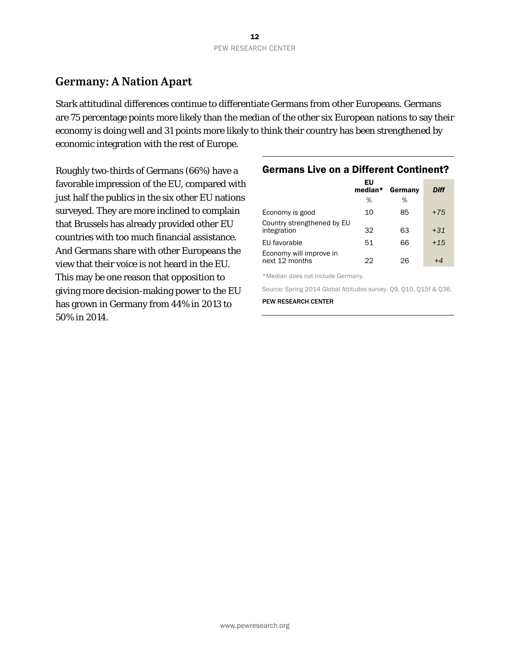# **Germany: A Nation Apart**

Stark attitudinal differences continue to differentiate Germans from other Europeans. Germans are 75 percentage points more likely than the median of the other six European nations to say their economy is doing well and 31 points more likely to think their country has been strengthened by economic integration with the rest of Europe.

Roughly two-thirds of Germans (66%) have a favorable impression of the EU, compared with just half the publics in the six other EU nations surveyed. They are more inclined to complain that Brussels has already provided other EU countries with too much financial assistance. And Germans share with other Europeans the view that their voice is not heard in the EU. This may be one reason that opposition to giving more decision-making power to the EU has grown in Germany from 44% in 2013 to 50% in 2014.

#### Germans Live on a Different Continent?

|                                           | EU<br>median* | Germany | Diff  |
|-------------------------------------------|---------------|---------|-------|
|                                           | %             | %       |       |
| Economy is good                           | 10            | 85      | $+75$ |
| Country strengthened by EU<br>integration | 32            | 63      | $+31$ |
| EU favorable                              | 51            | 66      | $+15$ |
| Economy will improve in<br>next 12 months | クク            | 26      |       |

\*Median does not include Germany.

Source: Spring 2014 Global Attitudes survey. Q9, Q10, Q15f & Q36.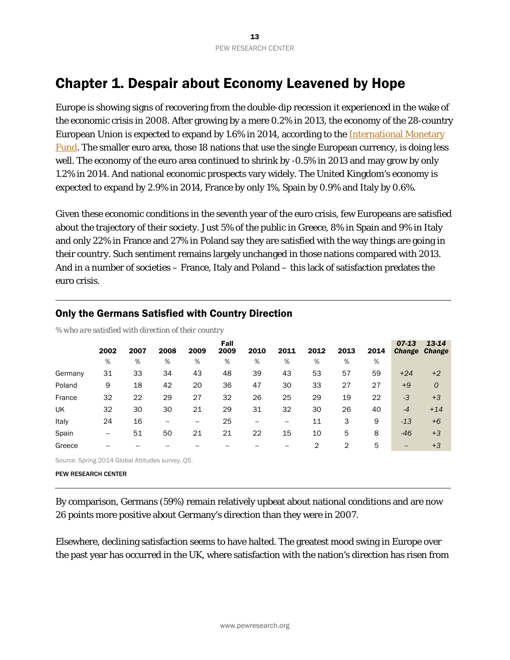# Chapter 1. Despair about Economy Leavened by Hope

Europe is showing signs of recovering from the double-dip recession it experienced in the wake of the economic crisis in 2008. After growing by a mere 0.2% in 2013, the economy of the 28-country European Union is expected to expand by 1.6% in 2014, according to the International Monetary Fund. The smaller euro area, those 18 nations that use the single European currency, is doing less well. The economy of the euro area continued to shrink by -0.5% in 2013 and may grow by only 1.2% in 2014. And national economic prospects vary widely. The United Kingdom's economy is expected to expand by 2.9% in 2014, France by only 1%, Spain by 0.9% and Italy by 0.6%.

Given these economic conditions in the seventh year of the euro crisis, few Europeans are satisfied about the trajectory of their society. Just 5% of the public in Greece, 8% in Spain and 9% in Italy and only 22% in France and 27% in Poland say they are satisfied with the way things are going in their country. Such sentiment remains largely unchanged in those nations compared with 2013. And in a number of societies – France, Italy and Poland – this lack of satisfaction predates the euro crisis.

|         | 2002 | 2007 | 2008                     | 2009 | Fall<br>2009 | 2010 | 2011 | 2012 | 2013 | 2014 | $07 - 13$<br><b>Change</b> | 13-14<br><b>Change</b> |
|---------|------|------|--------------------------|------|--------------|------|------|------|------|------|----------------------------|------------------------|
|         | %    | %    | %                        | %    | %            | %    | %    | %    | %    | %    |                            |                        |
| Germany | 31   | 33   | 34                       | 43   | 48           | 39   | 43   | 53   | 57   | 59   | $+24$                      | $+2$                   |
| Poland  | 9    | 18   | 42                       | 20   | 36           | 47   | 30   | 33   | 27   | 27   | $+9$                       | $\mathcal{O}$          |
| France  | 32   | 22   | 29                       | 27   | 32           | 26   | 25   | 29   | 19   | 22   | $-3$                       | $+3$                   |
| UK      | 32   | 30   | 30                       | 21   | 29           | 31   | 32   | 30   | 26   | 40   | $-4$                       | $+14$                  |
| Italy   | 24   | 16   | $\overline{\phantom{m}}$ | --   | 25           | --   | --   | 11   | 3    | 9    | $-13$                      | $+6$                   |
| Spain   | --   | 51   | 50                       | 21   | 21           | 22   | 15   | 10   | 5    | 8    | $-46$                      | $+3$                   |
| Greece  |      |      |                          |      |              |      |      | 2    | 2    | 5    | --                         | $+3$                   |

#### Only the Germans Satisfied with Country Direction

*% who are satisfied with direction of their country*

Source: Spring 2014 Global Attitudes survey. Q5.

PEW RESEARCH CENTER

By comparison, Germans (59%) remain relatively upbeat about national conditions and are now 26 points more positive about Germany's direction than they were in 2007.

Elsewhere, declining satisfaction seems to have halted. The greatest mood swing in Europe over the past year has occurred in the UK, where satisfaction with the nation's direction has risen from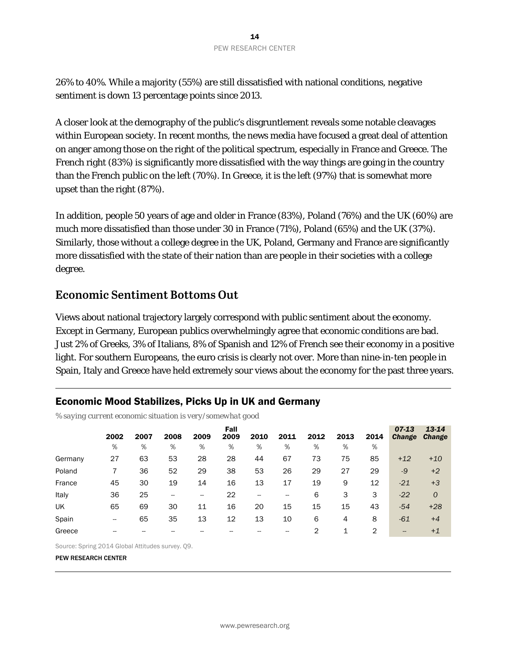26% to 40%. While a majority (55%) are still dissatisfied with national conditions, negative sentiment is down 13 percentage points since 2013.

A closer look at the demography of the public's disgruntlement reveals some notable cleavages within European society. In recent months, the news media have focused a great deal of attention on anger among those on the right of the political spectrum, especially in France and Greece. The French right (83%) is significantly more dissatisfied with the way things are going in the country than the French public on the left (70%). In Greece, it is the left (97%) that is somewhat more upset than the right (87%).

In addition, people 50 years of age and older in France (83%), Poland (76%) and the UK (60%) are much more dissatisfied than those under 30 in France (71%), Poland (65%) and the UK (37%). Similarly, those without a college degree in the UK, Poland, Germany and France are significantly more dissatisfied with the state of their nation than are people in their societies with a college degree.

# **Economic Sentiment Bottoms Out**

Views about national trajectory largely correspond with public sentiment about the economy. Except in Germany, European publics overwhelmingly agree that economic conditions are bad. Just 2% of Greeks, 3% of Italians, 8% of Spanish and 12% of French see their economy in a positive light. For southern Europeans, the euro crisis is clearly not over. More than nine-in-ten people in Spain, Italy and Greece have held extremely sour views about the economy for the past three years.

## Economic Mood Stabilizes, Picks Up in UK and Germany

*% saying current economic situation is very/somewhat good* 

|         | 2002 | 2007 | 2008 | 2009                     | Fall<br>2009 | 2010 | 2011 | 2012           | 2013 | 2014 | $07 - 13$<br><b>Change</b> | 13-14<br><b>Change</b> |
|---------|------|------|------|--------------------------|--------------|------|------|----------------|------|------|----------------------------|------------------------|
|         | %    | %    | %    | %                        | %            | %    | %    | %              | %    | %    |                            |                        |
| Germany | 27   | 63   | 53   | 28                       | 28           | 44   | 67   | 73             | 75   | 85   | $+12$                      | $+10$                  |
| Poland  |      | 36   | 52   | 29                       | 38           | 53   | 26   | 29             | 27   | 29   | $-9$                       | $+2$                   |
| France  | 45   | 30   | 19   | 14                       | 16           | 13   | 17   | 19             | 9    | 12   | $-21$                      | $+3$                   |
| Italy   | 36   | 25   | --   | $\overline{\phantom{a}}$ | 22           | --   |      | 6              | 3    | 3    | $-22$                      | $\mathcal{O}$          |
| UK      | 65   | 69   | 30   | 11                       | 16           | 20   | 15   | 15             | 15   | 43   | $-54$                      | $+28$                  |
| Spain   | --   | 65   | 35   | 13                       | 12           | 13   | 10   | 6              | 4    | 8    | $-61$                      | $+4$                   |
| Greece  | --   |      |      |                          |              |      |      | $\overline{2}$ | 1    | 2    | --                         | $+1$                   |

Source: Spring 2014 Global Attitudes survey. Q9.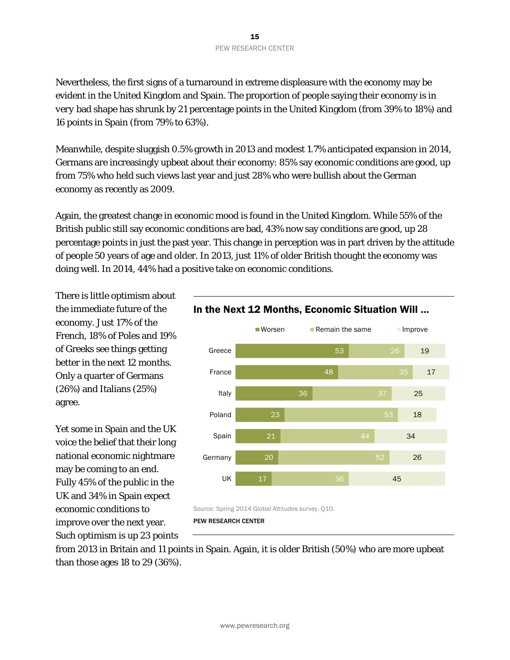Nevertheless, the first signs of a turnaround in extreme displeasure with the economy may be evident in the United Kingdom and Spain. The proportion of people saying their economy is in *very* bad shape has shrunk by 21 percentage points in the United Kingdom (from 39% to 18%) and 16 points in Spain (from 79% to 63%).

Meanwhile, despite sluggish 0.5% growth in 2013 and modest 1.7% anticipated expansion in 2014, Germans are increasingly upbeat about their economy: 85% say economic conditions are good, up from 75% who held such views last year and just 28% who were bullish about the German economy as recently as 2009.

Again, the greatest change in economic mood is found in the United Kingdom. While 55% of the British public still say economic conditions are bad, 43% now say conditions are good, up 28 percentage points in just the past year. This change in perception was in part driven by the attitude of people 50 years of age and older. In 2013, just 11% of older British thought the economy was doing well. In 2014, 44% had a positive take on economic conditions.

There is little optimism about the immediate future of the economy. Just 17% of the French, 18% of Poles and 19% of Greeks see things getting better in the next 12 months. Only a quarter of Germans (26%) and Italians (25%) agree.

Yet some in Spain and the UK voice the belief that their long national economic nightmare may be coming to an end. Fully 45% of the public in the UK and 34% in Spain expect economic conditions to improve over the next year. Such optimism is up 23 points



Source: Spring 2014 Global Attitudes survey. Q10.

PEW RESEARCH CENTER

from 2013 in Britain and 11 points in Spain. Again, it is older British (50%) who are more upbeat than those ages 18 to 29 (36%).

## In the Next 12 Months, Economic Situation Will …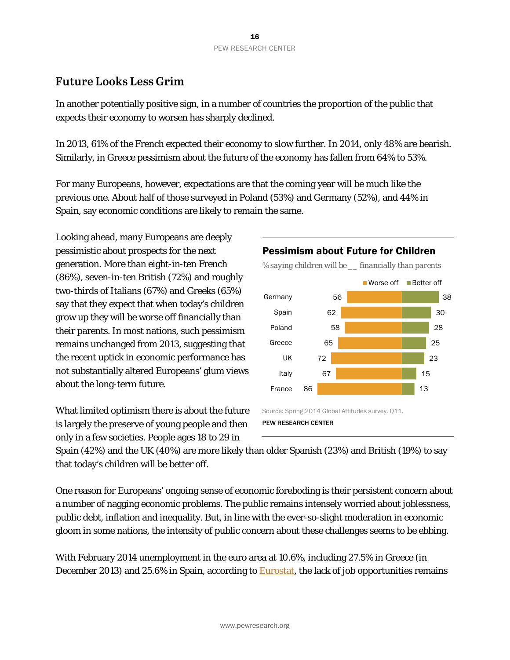# **Future Looks Less Grim**

In another potentially positive sign, in a number of countries the proportion of the public that expects their economy to worsen has sharply declined.

In 2013, 61% of the French expected their economy to slow further. In 2014, only 48% are bearish. Similarly, in Greece pessimism about the future of the economy has fallen from 64% to 53%.

For many Europeans, however, expectations are that the coming year will be much like the previous one. About half of those surveyed in Poland (53%) and Germany (52%), and 44% in Spain, say economic conditions are likely to remain the same.

Looking ahead, many Europeans are deeply pessimistic about prospects for the next generation. More than eight-in-ten French (86%), seven-in-ten British (72%) and roughly two-thirds of Italians (67%) and Greeks (65%) say that they expect that when today's children grow up they will be worse off financially than their parents. In most nations, such pessimism remains unchanged from 2013, suggesting that the recent uptick in economic performance has not substantially altered Europeans' glum views about the long-term future.

What limited optimism there is about the future is largely the preserve of young people and then only in a few societies. People ages 18 to 29 in





Spain (42%) and the UK (40%) are more likely than older Spanish (23%) and British (19%) to say that today's children will be better off.

One reason for Europeans' ongoing sense of economic foreboding is their persistent concern about a number of nagging economic problems. The public remains intensely worried about joblessness, public debt, inflation and inequality. But, in line with the ever-so-slight moderation in economic gloom in some nations, the intensity of public concern about these challenges seems to be ebbing.

With February 2014 unemployment in the euro area at 10.6%, including 27.5% in Greece (in December 2013) and 25.6% in Spain, according to Eurostat, the lack of job opportunities remains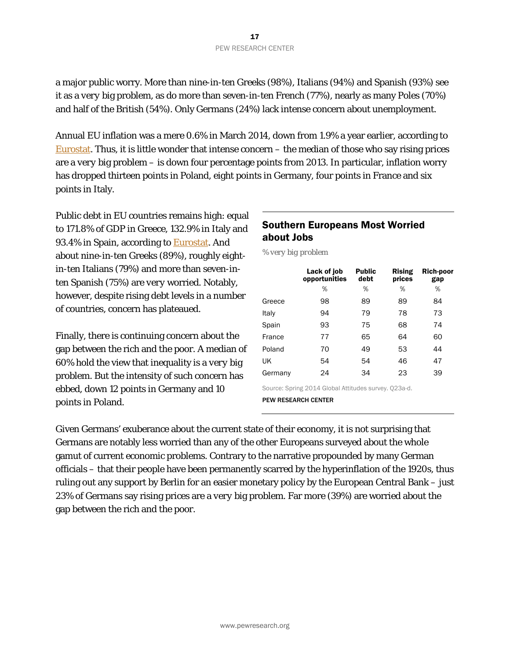a major public worry. More than nine-in-ten Greeks (98%), Italians (94%) and Spanish (93%) see it as a *very* big problem, as do more than seven-in-ten French (77%), nearly as many Poles (70%) and half of the British (54%). Only Germans (24%) lack intense concern about unemployment.

Annual EU inflation was a mere 0.6% in March 2014, down from 1.9% a year earlier, according to Eurostat. Thus, it is little wonder that intense concern  $-$  the median of those who say rising prices are a *very* big problem – is down four percentage points from 2013. In particular, inflation worry has dropped thirteen points in Poland, eight points in Germany, four points in France and six points in Italy.

Public debt in EU countries remains high: equal to 171.8% of GDP in Greece, 132.9% in Italy and 93.4% in Spain, according to **Eurostat**. And about nine-in-ten Greeks (89%), roughly eightin-ten Italians (79%) and more than seven-inten Spanish (75%) are *very* worried. Notably, however, despite rising debt levels in a number of countries, concern has plateaued.

Finally, there is continuing concern about the gap between the rich and the poor. A median of 60% hold the view that inequality is a *very* big problem. But the intensity of such concern has ebbed, down 12 points in Germany and 10 points in Poland.

## Southern Europeans Most Worried about Jobs

*% very big problem* 

|         | Lack of job<br>opportunities | <b>Public</b><br>debt | <b>Rising</b><br>prices | <b>Rich-poor</b><br>gap |
|---------|------------------------------|-----------------------|-------------------------|-------------------------|
|         | %                            | %                     | %                       | %                       |
| Greece  | 98                           | 89                    | 89                      | 84                      |
| Italy   | 94                           | 79                    | 78                      | 73                      |
| Spain   | 93                           | 75                    | 68                      | 74                      |
| France  | 77                           | 65                    | 64                      | 60                      |
| Poland  | 70                           | 49                    | 53                      | 44                      |
| UK      | 54                           | 54                    | 46                      | 47                      |
| Germany | 24                           | 34                    | 23                      | 39                      |

Source: Spring 2014 Global Attitudes survey. Q23a-d. PEW RESEARCH CENTER

Given Germans' exuberance about the current state of their economy, it is not surprising that Germans are notably less worried than any of the other Europeans surveyed about the whole gamut of current economic problems. Contrary to the narrative propounded by many German officials – that their people have been permanently scarred by the hyperinflation of the 1920s, thus ruling out any support by Berlin for an easier monetary policy by the European Central Bank – just 23% of Germans say rising prices are a *very* big problem. Far more (39%) are worried about the gap between the rich and the poor.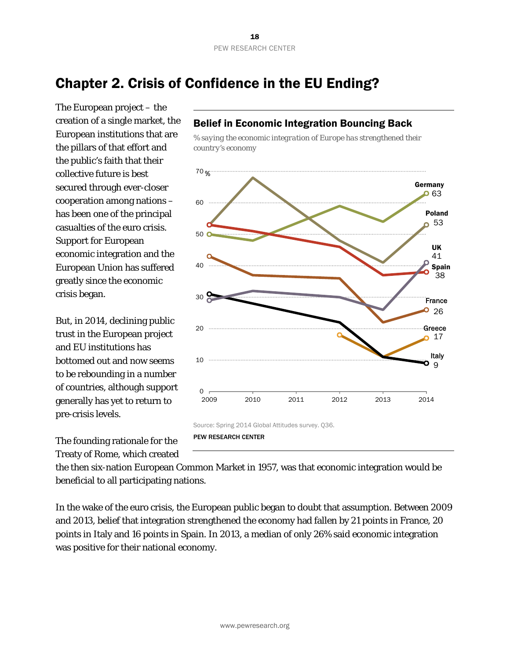# Chapter 2. Crisis of Confidence in the EU Ending?

The European project – the creation of a single market, the European institutions that are the pillars of that effort and the public's faith that their collective future is best secured through ever-closer cooperation among nations – has been one of the principal casualties of the euro crisis. Support for European economic integration and the European Union has suffered greatly since the economic crisis began.

But, in 2014, declining public trust in the European project and EU institutions has bottomed out and now seems to be rebounding in a number of countries, although support generally has yet to return to pre-crisis levels.

The founding rationale for the Treaty of Rome, which created *% saying the economic integration of Europe has strengthened their country's economy* 

Belief in Economic Integration Bouncing Back



the then six-nation European Common Market in 1957, was that economic integration would be beneficial to all participating nations.

In the wake of the euro crisis, the European public began to doubt that assumption. Between 2009 and 2013, belief that integration strengthened the economy had fallen by 21 points in France, 20 points in Italy and 16 points in Spain. In 2013, a median of only 26% said economic integration was positive for their national economy.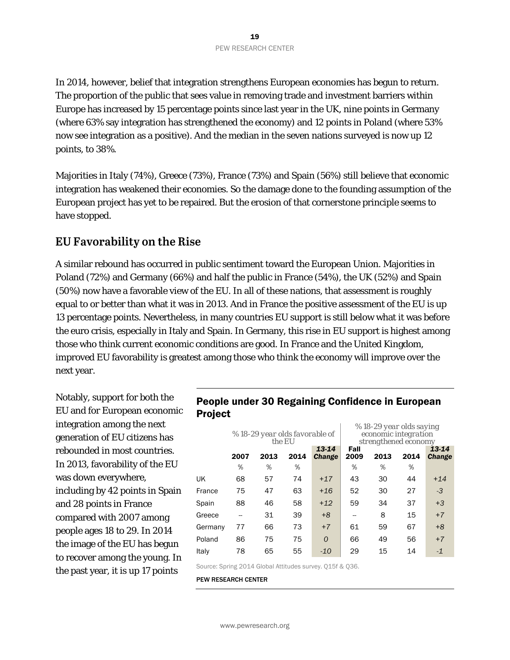In 2014, however, belief that integration strengthens European economies has begun to return. The proportion of the public that sees value in removing trade and investment barriers within Europe has increased by 15 percentage points since last year in the UK, nine points in Germany (where 63% say integration has strengthened the economy) and 12 points in Poland (where 53% now see integration as a positive). And the median in the seven nations surveyed is now up 12 points, to 38%.

Majorities in Italy (74%), Greece (73%), France (73%) and Spain (56%) still believe that economic integration has weakened their economies. So the damage done to the founding assumption of the European project has yet to be repaired. But the erosion of that cornerstone principle seems to have stopped.

# **EU Favorability on the Rise**

A similar rebound has occurred in public sentiment toward the European Union. Majorities in Poland (72%) and Germany (66%) and half the public in France (54%), the UK (52%) and Spain (50%) now have a favorable view of the EU. In all of these nations, that assessment is roughly equal to or better than what it was in 2013. And in France the positive assessment of the EU is up 13 percentage points. Nevertheless, in many countries EU support is still below what it was before the euro crisis, especially in Italy and Spain. In Germany, this rise in EU support is highest among those who think current economic conditions are good. In France and the United Kingdom, improved EU favorability is greatest among those who think the economy will improve over the next year.

Notably, support for both the EU and for European economic integration among the next generation of EU citizens has rebounded in most countries. In 2013, favorability of the EU was down everywhere, including by 42 points in Spain and 28 points in France compared with 2007 among people ages 18 to 29. In 2014 the image of the EU has begun to recover among the young. In the past year, it is up 17 points

## People under 30 Regaining Confidence in European Project

 $\mathcal{L}$ 

|         |           | % 18-29 year olds favorable of | the EU    |                        |                   | % 18-29 year olds saying<br>economic integration<br>strengthened economy |           |                        |
|---------|-----------|--------------------------------|-----------|------------------------|-------------------|--------------------------------------------------------------------------|-----------|------------------------|
|         | 2007<br>% | 2013<br>%                      | 2014<br>% | 13-14<br><b>Change</b> | Fall<br>2009<br>% | 2013<br>%                                                                | 2014<br>% | 13-14<br><b>Change</b> |
| UK      | 68        | 57                             | 74        | $+17$                  | 43                | 30                                                                       | 44        | $+14$                  |
| France  | 75        | 47                             | 63        | $+16$                  | 52                | 30                                                                       | 27        | -3                     |
| Spain   | 88        | 46                             | 58        | $+12$                  | 59                | 34                                                                       | 37        | $+3$                   |
| Greece  |           | 31                             | 39        | $+8$                   | --                | 8                                                                        | 15        | $+7$                   |
| Germany | 77        | 66                             | 73        | $+7$                   | 61                | 59                                                                       | 67        | $+8$                   |
| Poland  | 86        | 75                             | 75        | $\Omega$               | 66                | 49                                                                       | 56        | $+7$                   |
| Italy   | 78        | 65                             | 55        | $-10$                  | 29                | 15                                                                       | 14        | $-1$                   |

Source: Spring 2014 Global Attitudes survey. Q15f & Q36.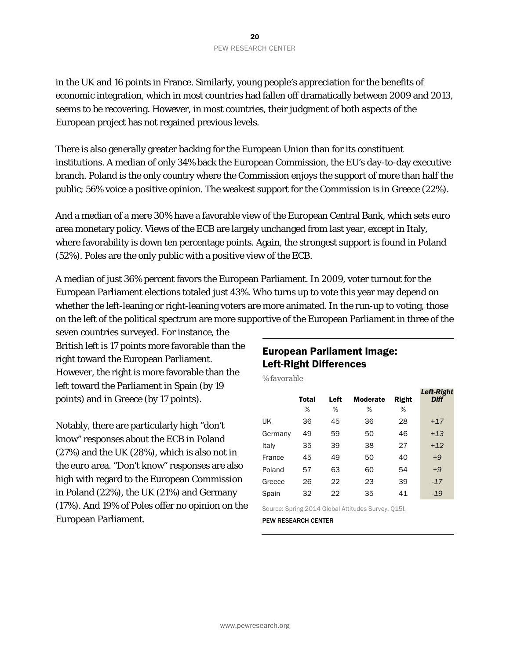in the UK and 16 points in France. Similarly, young people's appreciation for the benefits of economic integration, which in most countries had fallen off dramatically between 2009 and 2013, seems to be recovering. However, in most countries, their judgment of both aspects of the European project has not regained previous levels.

There is also generally greater backing for the European Union than for its constituent institutions. A median of only 34% back the European Commission, the EU's day-to-day executive branch. Poland is the only country where the Commission enjoys the support of more than half the public; 56% voice a positive opinion. The weakest support for the Commission is in Greece (22%).

And a median of a mere 30% have a favorable view of the European Central Bank, which sets euro area monetary policy. Views of the ECB are largely unchanged from last year, except in Italy, where favorability is down ten percentage points. Again, the strongest support is found in Poland (52%). Poles are the only public with a positive view of the ECB.

A median of just 36% percent favors the European Parliament. In 2009, voter turnout for the European Parliament elections totaled just 43%. Who turns up to vote this year may depend on whether the left-leaning or right-leaning voters are more animated. In the run-up to voting, those on the left of the political spectrum are more supportive of the European Parliament in three of the

seven countries surveyed. For instance, the British left is 17 points more favorable than the right toward the European Parliament. However, the right is more favorable than the left toward the Parliament in Spain (by 19 points) and in Greece (by 17 points).

Notably, there are particularly high "don't know" responses about the ECB in Poland (27%) and the UK (28%), which is also not in the euro area. "Don't know" responses are also high with regard to the European Commission in Poland (22%), the UK (21%) and Germany (17%). And 19% of Poles offer no opinion on the European Parliament.

## European Parliament Image: Left-Right Differences

*% favorable* 

|         | Total | Left | <b>Moderate</b> | Right | <b>Left-Right</b><br><b>Diff</b> |
|---------|-------|------|-----------------|-------|----------------------------------|
|         | %     | %    | %               | %     |                                  |
| UK      | 36    | 45   | 36              | 28    | $+17$                            |
| Germany | 49    | 59   | 50              | 46    | $+13$                            |
| Italy   | 35    | 39   | 38              | 27    | $+12$                            |
| France  | 45    | 49   | 50              | 40    | $+9$                             |
| Poland  | 57    | 63   | 60              | 54    | $+9$                             |
| Greece  | 26    | 22   | 23              | 39    | $-17$                            |
| Spain   | 32    | 22   | 35              | 41    | $-19$                            |

Source: Spring 2014 Global Attitudes Survey. Q15l.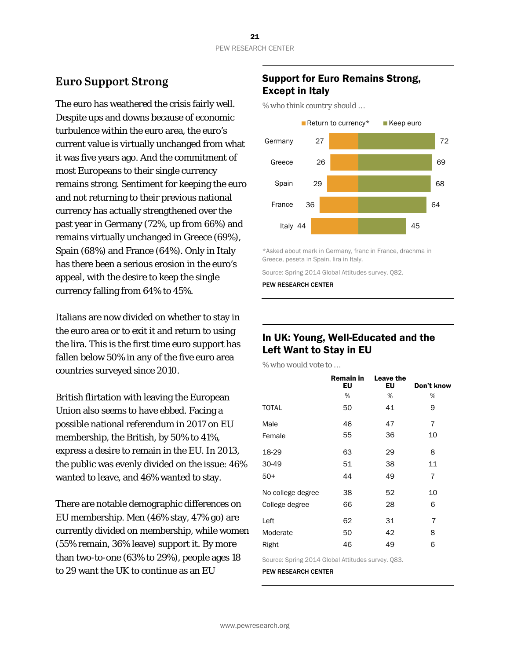# **Euro Support Strong**

The euro has weathered the crisis fairly well. Despite ups and downs because of economic turbulence within the euro area, the euro's current value is virtually unchanged from what it was five years ago. And the commitment of most Europeans to their single currency remains strong. Sentiment for keeping the euro and not returning to their previous national currency has actually strengthened over the past year in Germany (72%, up from 66%) and remains virtually unchanged in Greece (69%), Spain (68%) and France (64%). Only in Italy has there been a serious erosion in the euro's appeal, with the desire to keep the single currency falling from 64% to 45%.

Italians are now divided on whether to stay in the euro area or to exit it and return to using the lira. This is the first time euro support has fallen below 50% in any of the five euro area countries surveyed since 2010.

British flirtation with leaving the European Union also seems to have ebbed. Facing a possible national referendum in 2017 on EU membership, the British, by 50% to 41%, express a desire to remain in the EU. In 2013, the public was evenly divided on the issue: 46% wanted to leave, and 46% wanted to stay.

There are notable demographic differences on EU membership. Men (46% stay, 47% go) are currently divided on membership, while women (55% remain, 36% leave) support it. By more than two-to-one (63% to 29%), people ages 18 to 29 want the UK to continue as an EU

# Support for Euro Remains Strong, Except in Italy

*% who think country should …* 



\*Asked about mark in Germany, franc in France, drachma in Greece, peseta in Spain, lira in Italy.

Source: Spring 2014 Global Attitudes survey. Q82.

PEW RESEARCH CENTER

#### In UK: Young, Well-Educated and the Left Want to Stay in EU

*% who would vote to …* 

|                   | Remain in<br>EU | Leave the<br>EU | Don't know     |
|-------------------|-----------------|-----------------|----------------|
|                   | %               | %               | %              |
| <b>TOTAL</b>      | 50              | 41              | 9              |
| Male              | 46              | 47              | $\overline{7}$ |
| Female            | 55              | 36              | 10             |
| 18-29             | 63              | 29              | 8              |
| 30-49             | 51              | 38              | 11             |
| $50+$             | 44              | 49              | 7              |
| No college degree | 38              | 52              | 10             |
| College degree    | 66              | 28              | 6              |
| Left              | 62              | 31              | 7              |
| Moderate          | 50              | 42              | 8              |
| Right             | 46              | 49              | 6              |
|                   |                 |                 |                |

Source: Spring 2014 Global Attitudes survey. Q83.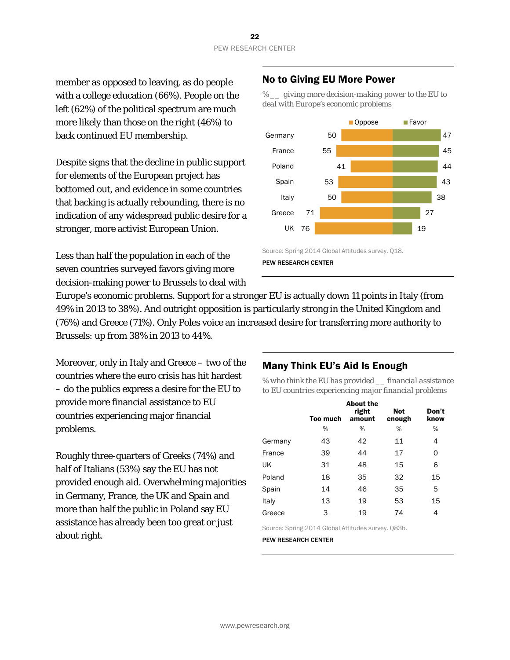member as opposed to leaving, as do people with a college education (66%). People on the left (62%) of the political spectrum are much more likely than those on the right (46%) to back continued EU membership.

Despite signs that the decline in public support for elements of the European project has bottomed out, and evidence in some countries that backing is actually rebounding, there is no indication of any widespread public desire for a stronger, more activist European Union.

Less than half the population in each of the seven countries surveyed favors giving more decision-making power to Brussels to deal with

# No to Giving EU More Power

*% \_\_ giving more decision-making power to the EU to deal with Europe's economic problems* 



PEW RESEARCH CENTER

Europe's economic problems. Support for a stronger EU is actually down 11 points in Italy (from 49% in 2013 to 38%). And outright opposition is particularly strong in the United Kingdom and (76%) and Greece (71%). Only Poles voice an increased desire for transferring more authority to Brussels: up from 38% in 2013 to 44%.

Moreover, only in Italy and Greece – two of the countries where the euro crisis has hit hardest – do the publics express a desire for the EU to provide more financial assistance to EU countries experiencing major financial problems.

Roughly three-quarters of Greeks (74%) and half of Italians (53%) say the EU has not provided enough aid. Overwhelming majorities in Germany, France, the UK and Spain and more than half the public in Poland say EU assistance has already been too great or just about right.

#### Many Think EU's Aid Is Enough

*% who think the EU has provided \_\_ financial assistance to EU countries experiencing major financial problems* 

|         | <b>Too much</b> | <b>About the</b><br>right<br>amount | <b>Not</b><br>enough | Don't<br>know |
|---------|-----------------|-------------------------------------|----------------------|---------------|
|         | %               | %                                   | %                    | %             |
| Germany | 43              | 42                                  | 11                   | 4             |
| France  | 39              | 44                                  | 17                   | 0             |
| UK      | 31              | 48                                  | 15                   | 6             |
| Poland  | 18              | 35                                  | 32                   | 15            |
| Spain   | 14              | 46                                  | 35                   | 5             |
| Italy   | 13              | 19                                  | 53                   | 15            |
| Greece  | 3               | 19                                  | 74                   | 4             |

Source: Spring 2014 Global Attitudes survey. Q83b.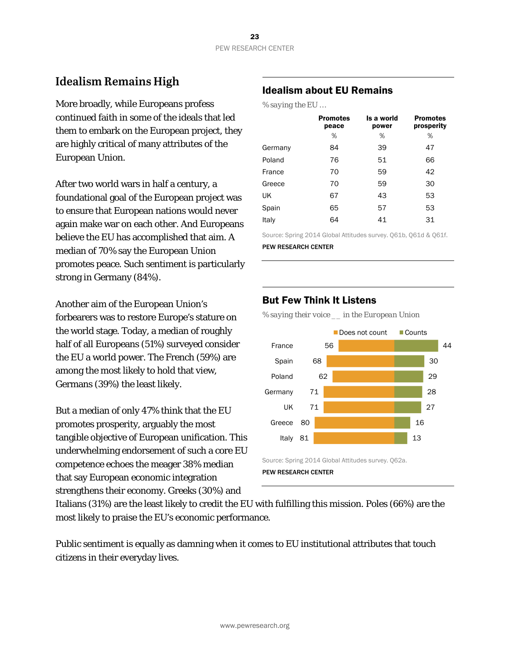# **Idealism Remains High**

More broadly, while Europeans profess continued faith in some of the ideals that led them to embark on the European project, they are highly critical of many attributes of the European Union.

After two world wars in half a century, a foundational goal of the European project was to ensure that European nations would never again make war on each other. And Europeans believe the EU has accomplished that aim. A median of 70% say the European Union promotes peace. Such sentiment is particularly strong in Germany (84%).

Another aim of the European Union's forbearers was to restore Europe's stature on the world stage. Today, a median of roughly half of all Europeans (51%) surveyed consider the EU a world power. The French (59%) are among the most likely to hold that view, Germans (39%) the least likely.

But a median of only 47% think that the EU promotes prosperity, arguably the most tangible objective of European unification. This underwhelming endorsement of such a core EU competence echoes the meager 38% median that say European economic integration strengthens their economy. Greeks (30%) and

#### Idealism about EU Remains

*% saying the EU …* 

|         | <b>Promotes</b><br>peace | Is a world<br>power | <b>Promotes</b><br>prosperity |
|---------|--------------------------|---------------------|-------------------------------|
|         | %                        | %                   | %                             |
| Germany | 84                       | 39                  | 47                            |
| Poland  | 76                       | 51                  | 66                            |
| France  | 70                       | 59                  | 42                            |
| Greece  | 70                       | 59                  | 30                            |
| UK      | 67                       | 43                  | 53                            |
| Spain   | 65                       | 57                  | 53                            |
| Italy   | 64                       | 41                  | 31                            |

Source: Spring 2014 Global Attitudes survey. Q61b, Q61d & Q61f.

PEW RESEARCH CENTER

#### But Few Think It Listens

*% saying their voice \_\_ in the European Union* 



Italians (31%) are the least likely to credit the EU with fulfilling this mission. Poles (66%) are the most likely to praise the EU's economic performance.

Public sentiment is equally as damning when it comes to EU institutional attributes that touch citizens in their everyday lives.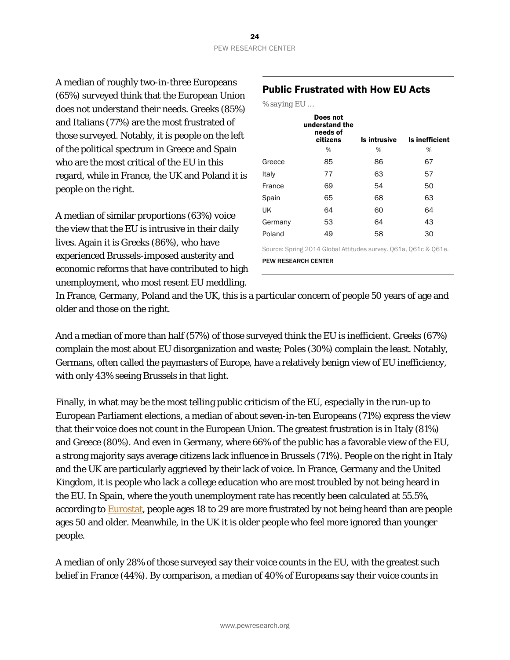A median of roughly two-in-three Europeans (65%) surveyed think that the European Union does not understand their needs. Greeks (85%) and Italians (77%) are the most frustrated of those surveyed. Notably, it is people on the left of the political spectrum in Greece and Spain who are the most critical of the EU in this regard, while in France, the UK and Poland it is people on the right.

A median of similar proportions (63%) voice the view that the EU is intrusive in their daily lives. Again it is Greeks (86%), who have experienced Brussels-imposed austerity and economic reforms that have contributed to high unemployment, who most resent EU meddling.

#### Public Frustrated with How EU Acts

| % saying El |  |
|-------------|--|
|             |  |

|                                                                 | Does not<br>understand the<br>needs of<br>citizens | Is intrusive | Is inefficient |  |  |  |
|-----------------------------------------------------------------|----------------------------------------------------|--------------|----------------|--|--|--|
|                                                                 | %                                                  | %            | %              |  |  |  |
| Greece                                                          | 85                                                 | 86           | 67             |  |  |  |
| Italy                                                           | 77                                                 | 63           | 57             |  |  |  |
| France                                                          | 69                                                 | 54           | 50             |  |  |  |
| Spain                                                           | 65                                                 | 68           | 63             |  |  |  |
| UK                                                              | 64                                                 | 60           | 64             |  |  |  |
| Germany                                                         | 53                                                 | 64           | 43             |  |  |  |
| Poland                                                          | 49                                                 | 58           | 30             |  |  |  |
| Source: Spring 2014 Global Attitudes survey. Q61a, Q61c & Q61e. |                                                    |              |                |  |  |  |
| <b>PEW RESEARCH CENTER</b>                                      |                                                    |              |                |  |  |  |

In France, Germany, Poland and the UK, this is a particular concern of people 50 years of age and older and those on the right.

And a median of more than half (57%) of those surveyed think the EU is inefficient. Greeks (67%) complain the most about EU disorganization and waste; Poles (30%) complain the least. Notably, Germans, often called the paymasters of Europe, have a relatively benign view of EU inefficiency, with only 43% seeing Brussels in that light.

Finally, in what may be the most telling public criticism of the EU, especially in the run-up to European Parliament elections, a median of about seven-in-ten Europeans (71%) express the view that their voice does not count in the European Union. The greatest frustration is in Italy (81%) and Greece (80%). And even in Germany, where 66% of the public has a favorable view of the EU, a strong majority says average citizens lack influence in Brussels (71%). People on the right in Italy and the UK are particularly aggrieved by their lack of voice. In France, Germany and the United Kingdom, it is people who lack a college education who are most troubled by not being heard in the EU. In Spain, where the youth unemployment rate has recently been calculated at 55.5%, according to Eurostat, people ages 18 to 29 are more frustrated by not being heard than are people ages 50 and older. Meanwhile, in the UK it is older people who feel more ignored than younger people.

A median of only 28% of those surveyed say their voice counts in the EU, with the greatest such belief in France (44%). By comparison, a median of 40% of Europeans say their voice counts in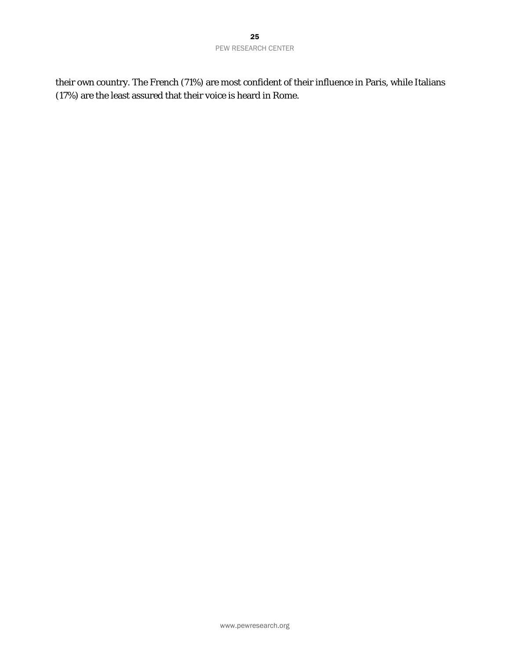their own country. The French (71%) are most confident of their influence in Paris, while Italians (17%) are the least assured that their voice is heard in Rome.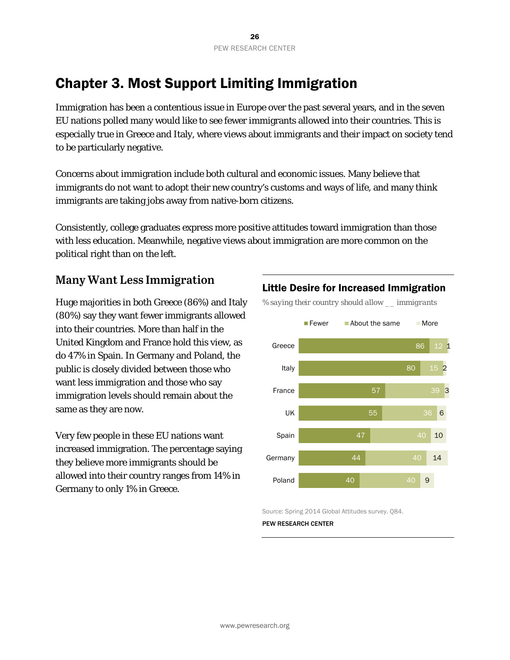# Chapter 3. Most Support Limiting Immigration

Immigration has been a contentious issue in Europe over the past several years, and in the seven EU nations polled many would like to see fewer immigrants allowed into their countries. This is especially true in Greece and Italy, where views about immigrants and their impact on society tend to be particularly negative.

Concerns about immigration include both cultural and economic issues. Many believe that immigrants do not want to adopt their new country's customs and ways of life, and many think immigrants are taking jobs away from native-born citizens.

Consistently, college graduates express more positive attitudes toward immigration than those with less education. Meanwhile, negative views about immigration are more common on the political right than on the left.

# **Many Want Less Immigration**

Huge majorities in both Greece (86%) and Italy (80%) say they want fewer immigrants allowed into their countries. More than half in the United Kingdom and France hold this view, as do 47% in Spain. In Germany and Poland, the public is closely divided between those who want less immigration and those who say immigration levels should remain about the same as they are now.

Very few people in these EU nations want increased immigration. The percentage saying they believe more immigrants should be allowed into their country ranges from 14% in Germany to only 1% in Greece.

## Little Desire for Increased Immigration

*% saying their country should allow \_\_ immigrants* 



Source: Spring 2014 Global Attitudes survey. Q84.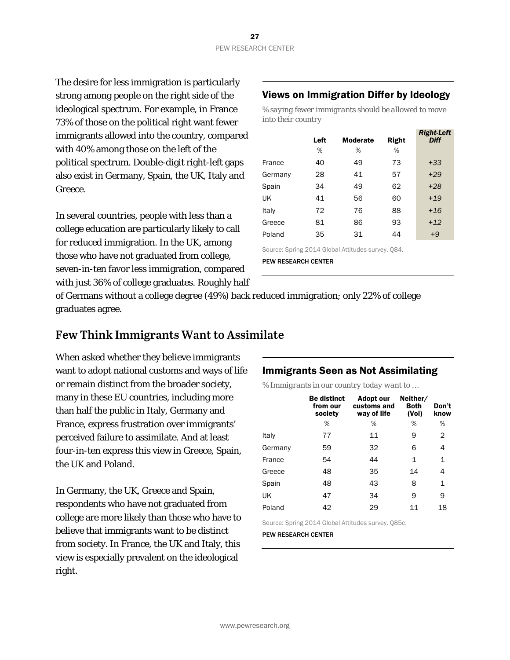The desire for less immigration is particularly strong among people on the right side of the ideological spectrum. For example, in France 73% of those on the political right want fewer immigrants allowed into the country, compared with 40% among those on the left of the political spectrum. Double-digit right-left gaps also exist in Germany, Spain, the UK, Italy and Greece.

In several countries, people with less than a college education are particularly likely to call for reduced immigration. In the UK, among those who have not graduated from college, seven-in-ten favor less immigration, compared with just 36% of college graduates. Roughly half

#### Views on Immigration Differ by Ideology

*% saying fewer immigrants should be allowed to move into their country* 

|         | Left<br>% | <b>Moderate</b><br>% | Right<br>% | <b>Right-Left</b><br><b>Diff</b> |
|---------|-----------|----------------------|------------|----------------------------------|
|         |           |                      |            |                                  |
| France  | 40        | 49                   | 73         | $+33$                            |
| Germany | 28        | 41                   | 57         | $+29$                            |
| Spain   | 34        | 49                   | 62         | $+28$                            |
| UK      | 41        | 56                   | 60         | $+19$                            |
| Italy   | 72        | 76                   | 88         | $+16$                            |
| Greece  | 81        | 86                   | 93         | $+12$                            |
| Poland  | 35        | 31                   | 44         | $+9$                             |

Source: Spring 2014 Global Attitudes survey. Q84.

PEW RESEARCH CENTER

of Germans without a college degree (49%) back reduced immigration; only 22% of college graduates agree.

# **Few Think Immigrants Want to Assimilate**

When asked whether they believe immigrants want to adopt national customs and ways of life or remain distinct from the broader society, many in these EU countries, including more than half the public in Italy, Germany and France, express frustration over immigrants' perceived failure to assimilate. And at least four-in-ten express this view in Greece, Spain, the UK and Poland.

In Germany, the UK, Greece and Spain, respondents who have not graduated from college are more likely than those who have to believe that immigrants want to be distinct from society. In France, the UK and Italy, this view is especially prevalent on the ideological right.

#### Immigrants Seen as Not Assimilating

*% Immigrants in our country today want to …* 

|         | <b>Be distinct</b><br>from our<br>society | Adopt our<br>customs and<br>way of life | Neither/<br><b>Both</b><br>(Vol) | Don't<br>know |
|---------|-------------------------------------------|-----------------------------------------|----------------------------------|---------------|
|         | %                                         | %                                       | %                                | %             |
| Italy   | 77                                        | 11                                      | 9                                | 2             |
| Germany | 59                                        | 32                                      | 6                                | 4             |
| France  | 54                                        | 44                                      | 1                                | $\mathbf{1}$  |
| Greece  | 48                                        | 35                                      | 14                               | 4             |
| Spain   | 48                                        | 43                                      | 8                                | 1             |
| UK      | 47                                        | 34                                      | 9                                | 9             |
| Poland  | 42                                        | 29                                      | 11                               | 18            |

Source: Spring 2014 Global Attitudes survey. Q85c.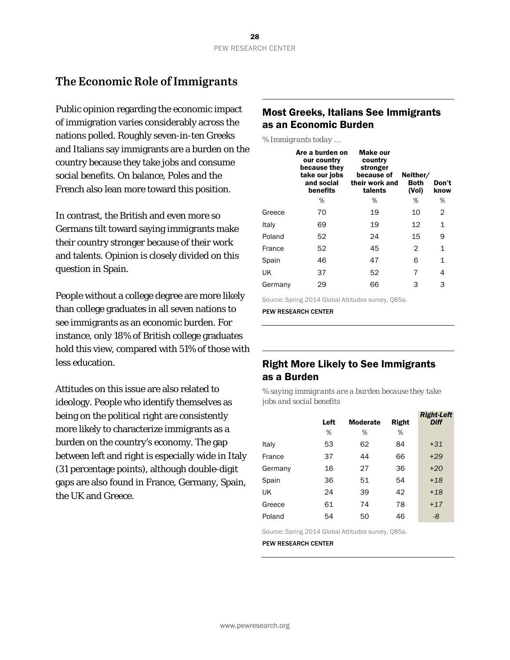# **The Economic Role of Immigrants**

Public opinion regarding the economic impact of immigration varies considerably across the nations polled. Roughly seven-in-ten Greeks and Italians say immigrants are a burden on the country because they take jobs and consume social benefits. On balance, Poles and the French also lean more toward this position.

In contrast, the British and even more so Germans tilt toward saying immigrants make their country stronger because of their work and talents. Opinion is closely divided on this question in Spain.

People without a college degree are more likely than college graduates in all seven nations to see immigrants as an economic burden. For instance, only 18% of British college graduates hold this view, compared with 51% of those with less education.

Attitudes on this issue are also related to ideology. People who identify themselves as being on the political right are consistently more likely to characterize immigrants as a burden on the country's economy. The gap between left and right is especially wide in Italy (31 percentage points), although double-digit gaps are also found in France, Germany, Spain, the UK and Greece.

### Most Greeks, Italians See Immigrants as an Economic Burden

*% Immigrants today …* 

|         | Are a burden on<br>our country<br>because they<br>take our jobs<br>and social<br>benefits | Make our<br>country<br>stronger<br>because of<br>their work and<br>talents | Neither/<br><b>Both</b><br>(Vol) | Don't<br>know |
|---------|-------------------------------------------------------------------------------------------|----------------------------------------------------------------------------|----------------------------------|---------------|
|         | %                                                                                         | %                                                                          | %                                | %             |
| Greece  | 70                                                                                        | 19                                                                         | 10                               | 2             |
| Italy   | 69                                                                                        | 19                                                                         | 12                               | 1             |
| Poland  | 52                                                                                        | 24                                                                         | 15                               | 9             |
| France  | 52                                                                                        | 45                                                                         | 2                                | $\mathbf{1}$  |
| Spain   | 46                                                                                        | 47                                                                         | 6                                | 1             |
| UK      | 37                                                                                        | 52                                                                         | 7                                | 4             |
| Germany | 29                                                                                        | 66                                                                         | 3                                | 3             |

Source: Spring 2014 Global Attitudes survey. Q85a.

PEW RESEARCH CENTER

#### Right More Likely to See Immigrants as a Burden

*% saying immigrants are a burden because they take jobs and social benefits* 

|         | Left | <b>Moderate</b> | Right | <b>Right-Left</b><br><b>Diff</b> |
|---------|------|-----------------|-------|----------------------------------|
|         | %    | %               | %     |                                  |
| Italy   | 53   | 62              | 84    | $+31$                            |
| France  | 37   | 44              | 66    | $+29$                            |
| Germany | 16   | 27              | 36    | $+20$                            |
| Spain   | 36   | 51              | 54    | $+18$                            |
| UK      | 24   | 39              | 42    | $+18$                            |
| Greece  | 61   | 74              | 78    | $+17$                            |
| Poland  | 54   | 50              | 46    | -8                               |

Source: Spring 2014 Global Attitudes survey. Q85a.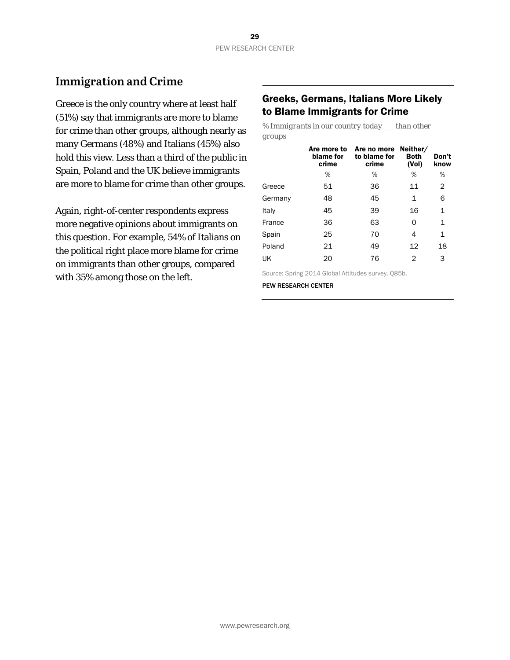# **Immigration and Crime**

Greece is the only country where at least half (51%) say that immigrants are more to blame for crime than other groups, although nearly as many Germans (48%) and Italians (45%) also hold this view. Less than a third of the public in Spain, Poland and the UK believe immigrants are more to blame for crime than other groups.

Again, right-of-center respondents express more negative opinions about immigrants on this question. For example, 54% of Italians on the political right place more blame for crime on immigrants than other groups, compared with 35% among those on the left.

#### Greeks, Germans, Italians More Likely to Blame Immigrants for Crime

*% Immigrants in our country today \_\_ than other groups* 

|         | Are more to<br>blame for<br>crime | Are no more Neither/<br>to blame for<br>crime | <b>Both</b><br>(Vol) | Don't<br>know |
|---------|-----------------------------------|-----------------------------------------------|----------------------|---------------|
|         | ℅                                 | %                                             | %                    | %             |
| Greece  | 51                                | 36                                            | 11                   | 2             |
| Germany | 48                                | 45                                            | 1                    | 6             |
| Italy   | 45                                | 39                                            | 16                   | 1             |
| France  | 36                                | 63                                            | 0                    | 1             |
| Spain   | 25                                | 70                                            | 4                    | 1             |
| Poland  | 21                                | 49                                            | 12                   | 18            |
| UK      | 20                                | 76                                            | 2                    | 3             |

Source: Spring 2014 Global Attitudes survey. Q85b.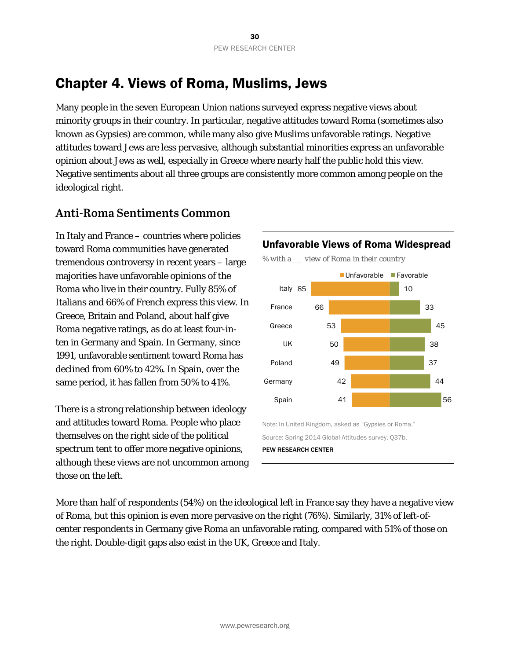# Chapter 4. Views of Roma, Muslims, Jews

Many people in the seven European Union nations surveyed express negative views about minority groups in their country. In particular, negative attitudes toward Roma (sometimes also known as Gypsies) are common, while many also give Muslims unfavorable ratings. Negative attitudes toward Jews are less pervasive, although substantial minorities express an unfavorable opinion about Jews as well, especially in Greece where nearly half the public hold this view. Negative sentiments about all three groups are consistently more common among people on the ideological right.

# **Anti-Roma Sentiments Common**

In Italy and France – countries where policies toward Roma communities have generated tremendous controversy in recent years – large majorities have unfavorable opinions of the Roma who live in their country. Fully 85% of Italians and 66% of French express this view. In Greece, Britain and Poland, about half give Roma negative ratings, as do at least four-inten in Germany and Spain. In Germany, since 1991, unfavorable sentiment toward Roma has declined from 60% to 42%. In Spain, over the same period, it has fallen from 50% to 41%.

There is a strong relationship between ideology and attitudes toward Roma. People who place themselves on the right side of the political spectrum tent to offer more negative opinions, although these views are not uncommon among those on the left.



Unfavorable Views of Roma Widespread

More than half of respondents (54%) on the ideological left in France say they have a negative view of Roma, but this opinion is even more pervasive on the right (76%). Similarly, 31% of left-ofcenter respondents in Germany give Roma an unfavorable rating, compared with 51% of those on the right. Double-digit gaps also exist in the UK, Greece and Italy.

PEW RESEARCH CENTER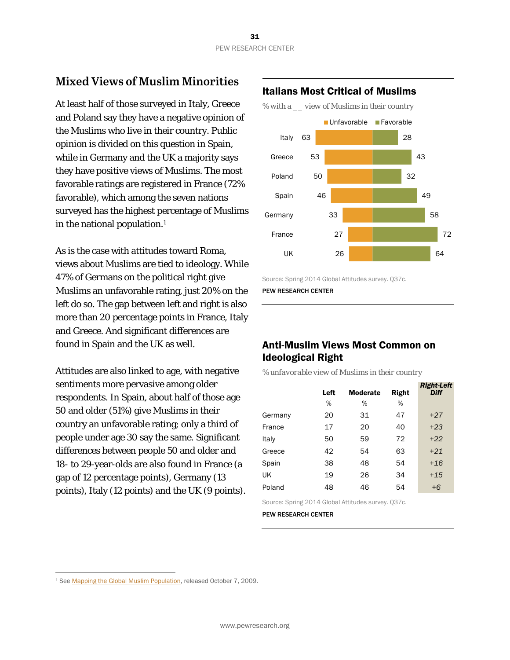# **Mixed Views of Muslim Minorities**

At least half of those surveyed in Italy, Greece and Poland say they have a negative opinion of the Muslims who live in their country. Public opinion is divided on this question in Spain, while in Germany and the UK a majority says they have positive views of Muslims. The most favorable ratings are registered in France (72% favorable), which among the seven nations surveyed has the highest percentage of Muslims in the national population.<sup>1</sup>

As is the case with attitudes toward Roma, views about Muslims are tied to ideology. While 47% of Germans on the political right give Muslims an unfavorable rating, just 20% on the left do so. The gap between left and right is also more than 20 percentage points in France, Italy and Greece. And significant differences are found in Spain and the UK as well.

Attitudes are also linked to age, with negative sentiments more pervasive among older respondents. In Spain, about half of those age 50 and older (51%) give Muslims in their country an unfavorable rating; only a third of people under age 30 say the same. Significant differences between people 50 and older and 18- to 29-year-olds are also found in France (a gap of 12 percentage points), Germany (13 points), Italy (12 points) and the UK (9 points).

#### Italians Most Critical of Muslims

*% with a \_\_ view of Muslims in their country* 



Source: Spring 2014 Global Attitudes survey. Q37c.

PEW RESEARCH CENTER

## Anti-Muslim Views Most Common on Ideological Right

*% unfavorable view of Muslims in their country* 

|         | Left | <b>Moderate</b> | Right | <b>Right-Left</b><br><b>Diff</b> |
|---------|------|-----------------|-------|----------------------------------|
|         | %    | %               | %     |                                  |
| Germany | 20   | 31              | 47    | $+27$                            |
| France  | 17   | 20              | 40    | $+23$                            |
| Italy   | 50   | 59              | 72    | $+22$                            |
| Greece  | 42   | 54              | 63    | $+21$                            |
| Spain   | 38   | 48              | 54    | $+16$                            |
| UK      | 19   | 26              | 34    | $+15$                            |
| Poland  | 48   | 46              | 54    | $+6$                             |

Source: Spring 2014 Global Attitudes survey. Q37c.

PEW RESEARCH CENTER

 $\overline{a}$ 

<sup>1</sup> See Mapping the Global Muslim Population, released October 7, 2009.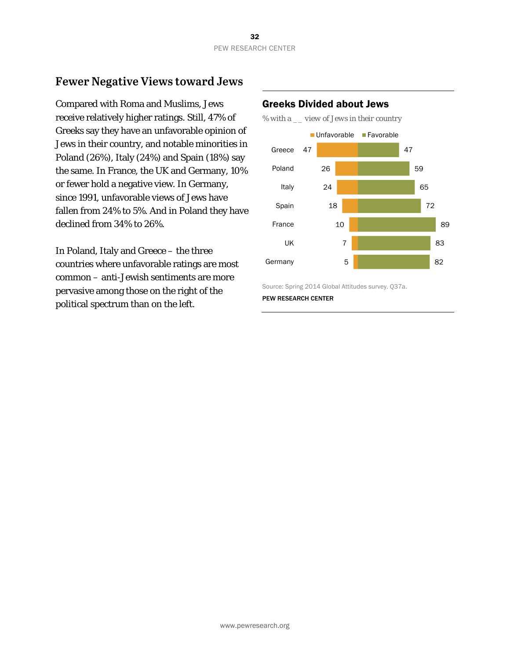# **Fewer Negative Views toward Jews**

Compared with Roma and Muslims, Jews receive relatively higher ratings. Still, 47% of Greeks say they have an unfavorable opinion of Jews in their country, and notable minorities in Poland (26%), Italy (24%) and Spain (18%) say the same. In France, the UK and Germany, 10% or fewer hold a negative view. In Germany, since 1991, unfavorable views of Jews have fallen from 24% to 5%. And in Poland they have declined from 34% to 26%.

In Poland, Italy and Greece – the three countries where unfavorable ratings are most common – anti-Jewish sentiments are more pervasive among those on the right of the political spectrum than on the left.

#### Greeks Divided about Jews





Source: Spring 2014 Global Attitudes survey. Q37a. PEW RESEARCH CENTER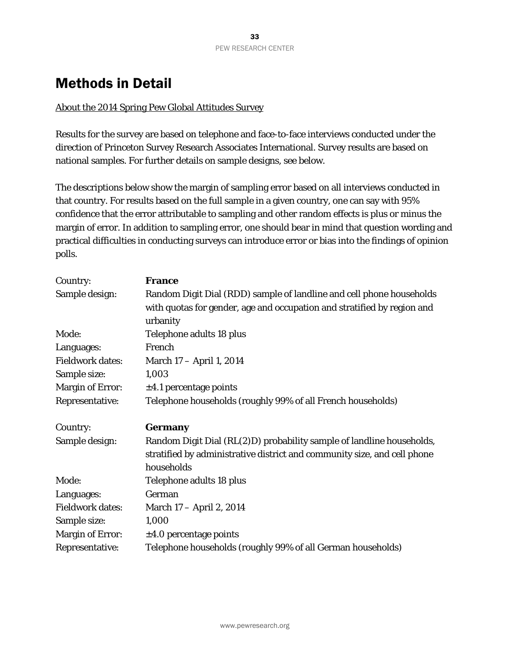# Methods in Detail

#### About the 2014 Spring Pew Global Attitudes Survey

Results for the survey are based on telephone and face-to-face interviews conducted under the direction of Princeton Survey Research Associates International. Survey results are based on national samples. For further details on sample designs, see below.

The descriptions below show the margin of sampling error based on all interviews conducted in that country. For results based on the full sample in a given country, one can say with 95% confidence that the error attributable to sampling and other random effects is plus or minus the margin of error. In addition to sampling error, one should bear in mind that question wording and practical difficulties in conducting surveys can introduce error or bias into the findings of opinion polls.

| Country:                | <b>France</b>                                                                                                                                     |  |  |  |
|-------------------------|---------------------------------------------------------------------------------------------------------------------------------------------------|--|--|--|
| Sample design:          | Random Digit Dial (RDD) sample of landline and cell phone households                                                                              |  |  |  |
|                         | with quotas for gender, age and occupation and stratified by region and                                                                           |  |  |  |
|                         | urbanity                                                                                                                                          |  |  |  |
| Mode:                   | Telephone adults 18 plus                                                                                                                          |  |  |  |
| Languages:              | French                                                                                                                                            |  |  |  |
| <b>Fieldwork dates:</b> | March 17 – April 1, 2014                                                                                                                          |  |  |  |
| Sample size:            | 1,003                                                                                                                                             |  |  |  |
| <b>Margin of Error:</b> | $\pm 4.1$ percentage points                                                                                                                       |  |  |  |
| Representative:         | Telephone households (roughly 99% of all French households)                                                                                       |  |  |  |
| Country:                | <b>Germany</b>                                                                                                                                    |  |  |  |
| Sample design:          | Random Digit Dial (RL(2)D) probability sample of landline households,<br>stratified by administrative district and community size, and cell phone |  |  |  |
|                         | households                                                                                                                                        |  |  |  |
| Mode:                   | Telephone adults 18 plus                                                                                                                          |  |  |  |
| Languages:              | German                                                                                                                                            |  |  |  |
| <b>Fieldwork dates:</b> | March 17 - April 2, 2014                                                                                                                          |  |  |  |
| Sample size:            | 1,000                                                                                                                                             |  |  |  |
| <b>Margin of Error:</b> | $\pm 4.0$ percentage points                                                                                                                       |  |  |  |
| Representative:         | Telephone households (roughly 99% of all German households)                                                                                       |  |  |  |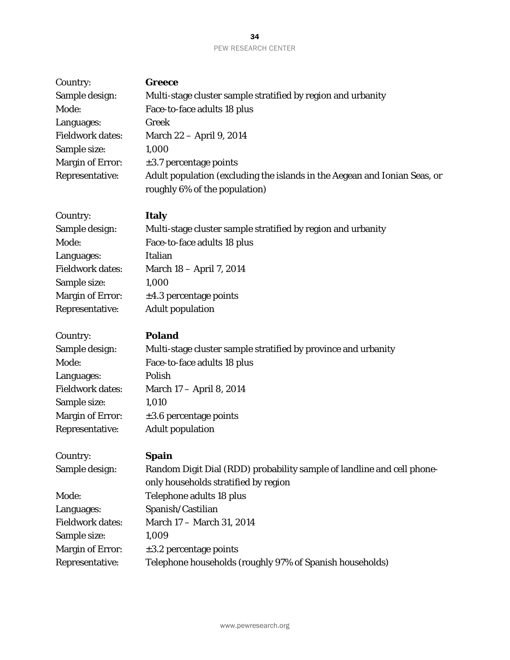| Country:                | <b>Greece</b>                                                                                                  |
|-------------------------|----------------------------------------------------------------------------------------------------------------|
| Sample design:          | Multi-stage cluster sample stratified by region and urbanity                                                   |
| Mode:                   | Face-to-face adults 18 plus                                                                                    |
| Languages:              | Greek                                                                                                          |
| <b>Fieldwork dates:</b> | March 22 - April 9, 2014                                                                                       |
| Sample size:            | 1,000                                                                                                          |
| <b>Margin of Error:</b> | $\pm 3.7$ percentage points                                                                                    |
| Representative:         | Adult population (excluding the islands in the Aegean and Ionian Seas, or<br>roughly 6% of the population)     |
| Country:                | <b>Italy</b>                                                                                                   |
| Sample design:          | Multi-stage cluster sample stratified by region and urbanity                                                   |
| Mode:                   | Face-to-face adults 18 plus                                                                                    |
| Languages:              | Italian                                                                                                        |
| <b>Fieldwork dates:</b> | March 18 - April 7, 2014                                                                                       |
| Sample size:            | 1,000                                                                                                          |
| <b>Margin of Error:</b> | $\pm 4.3$ percentage points                                                                                    |
| Representative:         | <b>Adult population</b>                                                                                        |
| Country:                | <b>Poland</b>                                                                                                  |
| Sample design:          | Multi-stage cluster sample stratified by province and urbanity                                                 |
| Mode:                   | Face-to-face adults 18 plus                                                                                    |
| Languages:              | Polish                                                                                                         |
| <b>Fieldwork dates:</b> | March 17 – April 8, 2014                                                                                       |
| Sample size:            | 1,010                                                                                                          |
| <b>Margin of Error:</b> | $\pm 3.6$ percentage points                                                                                    |
| Representative:         | <b>Adult population</b>                                                                                        |
| Country:                | <b>Spain</b>                                                                                                   |
| Sample design:          | Random Digit Dial (RDD) probability sample of landline and cell phone-<br>only households stratified by region |
| Mode:                   | Telephone adults 18 plus                                                                                       |
| Languages:              | Spanish/Castilian                                                                                              |
| <b>Fieldwork dates:</b> | March 17 - March 31, 2014                                                                                      |
| Comula                  | 1.000                                                                                                          |

Sample size: 1,009 Margin of Error:  $\qquad \pm 3.2$  percentage points Representative: Telephone households (roughly 97% of Spanish households)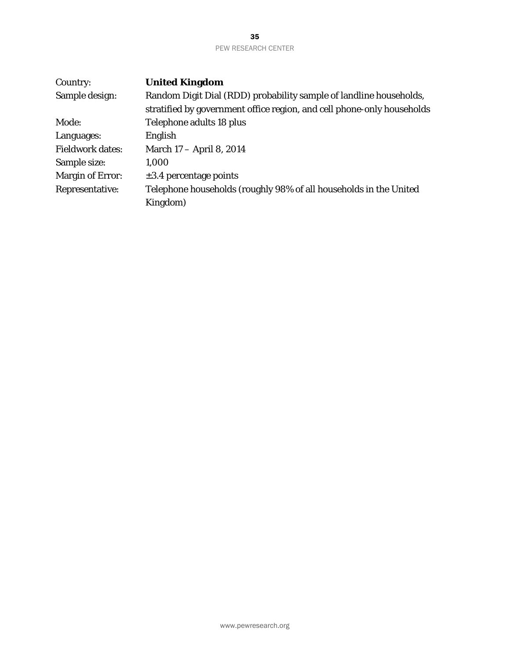| Country:                | <b>United Kingdom</b>                                                  |
|-------------------------|------------------------------------------------------------------------|
| Sample design:          | Random Digit Dial (RDD) probability sample of landline households,     |
|                         | stratified by government office region, and cell phone-only households |
| Mode:                   | Telephone adults 18 plus                                               |
| Languages:              | English                                                                |
| <b>Fieldwork dates:</b> | March 17 - April 8, 2014                                               |
| Sample size:            | 1,000                                                                  |
| <b>Margin of Error:</b> | $\pm 3.4$ percentage points                                            |
| Representative:         | Telephone households (roughly 98% of all households in the United      |
|                         | Kingdom)                                                               |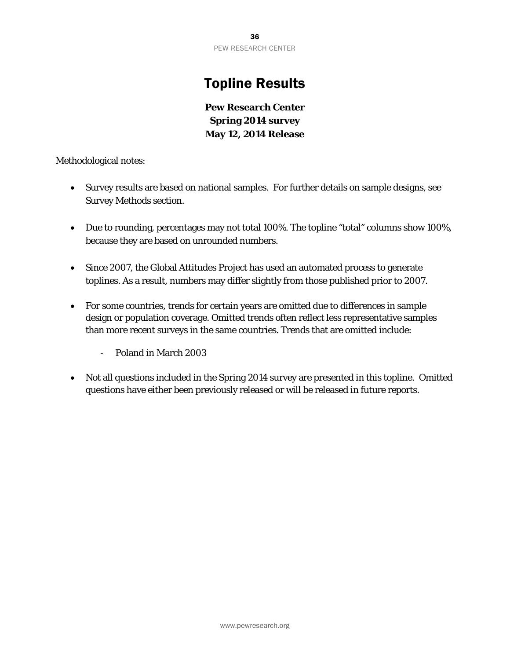# Topline Results

**Pew Research Center Spring 2014 survey May 12, 2014 Release** 

Methodological notes:

- Survey results are based on national samples. For further details on sample designs, see Survey Methods section.
- Due to rounding, percentages may not total 100%. The topline "total" columns show 100%, because they are based on unrounded numbers.
- Since 2007, the Global Attitudes Project has used an automated process to generate toplines. As a result, numbers may differ slightly from those published prior to 2007.
- For some countries, trends for certain years are omitted due to differences in sample design or population coverage. Omitted trends often reflect less representative samples than more recent surveys in the same countries. Trends that are omitted include:
	- ‐ Poland in March 2003
- Not all questions included in the Spring 2014 survey are presented in this topline. Omitted questions have either been previously released or will be released in future reports.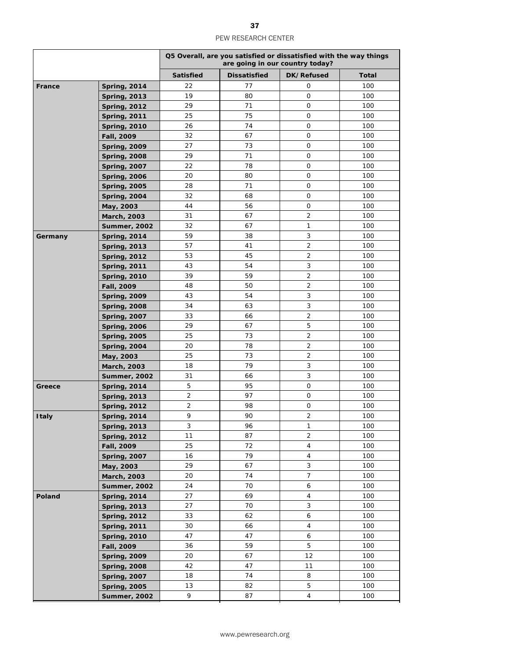|              |                                            | Q5 Overall, are you satisfied or dissatisfied with the way things<br>are going in our country today? |                     |                |              |
|--------------|--------------------------------------------|------------------------------------------------------------------------------------------------------|---------------------|----------------|--------------|
|              |                                            | <b>Satisfied</b>                                                                                     | <b>Dissatisfied</b> | DK/Refused     | <b>Total</b> |
| France       | <b>Spring, 2014</b>                        | 22                                                                                                   | 77                  | 0              | 100          |
|              | <b>Spring, 2013</b>                        | 19                                                                                                   | 80                  | 0              | 100          |
|              | <b>Spring, 2012</b>                        | 29                                                                                                   | 71                  | 0              | 100          |
|              | <b>Spring, 2011</b>                        | 25                                                                                                   | 75                  | 0              | 100          |
|              | <b>Spring, 2010</b>                        | 26                                                                                                   | 74                  | 0              | 100          |
|              | Fall, 2009                                 | 32                                                                                                   | 67                  | 0              | 100          |
|              | <b>Spring, 2009</b>                        | 27                                                                                                   | 73                  | 0              | 100          |
|              | <b>Spring, 2008</b>                        | 29                                                                                                   | 71                  | 0              | 100          |
|              | <b>Spring, 2007</b>                        | 22                                                                                                   | 78                  | 0              | 100          |
|              | <b>Spring, 2006</b>                        | 20                                                                                                   | 80                  | 0              | 100          |
|              | <b>Spring, 2005</b>                        | 28                                                                                                   | 71                  | 0              | 100          |
|              | <b>Spring, 2004</b>                        | 32                                                                                                   | 68                  | 0              | 100          |
|              | May, 2003                                  | 44                                                                                                   | 56                  | 0              | 100          |
|              | March, 2003                                | 31                                                                                                   | 67                  | $\overline{2}$ | 100          |
|              | <b>Summer, 2002</b>                        | 32                                                                                                   | 67                  | 1              | 100          |
| Germany      | <b>Spring, 2014</b>                        | 59                                                                                                   | 38                  | 3              | 100          |
|              | <b>Spring, 2013</b>                        | 57                                                                                                   | 41                  | 2              | 100          |
|              | <b>Spring, 2012</b>                        | 53                                                                                                   | 45                  | 2              | 100          |
|              | <b>Spring, 2011</b>                        | 43                                                                                                   | 54                  | 3              | 100          |
|              | <b>Spring, 2010</b>                        | 39                                                                                                   | 59                  | 2              | 100          |
|              | Fall, 2009                                 | 48                                                                                                   | 50                  | 2              | 100          |
|              | <b>Spring, 2009</b>                        | 43                                                                                                   | 54                  | 3              | 100          |
|              | <b>Spring, 2008</b>                        | 34                                                                                                   | 63                  | 3              | 100          |
|              | <b>Spring, 2007</b>                        | 33                                                                                                   | 66                  | 2              | 100          |
|              | <b>Spring, 2006</b>                        | 29                                                                                                   | 67                  | 5              | 100          |
|              | <b>Spring, 2005</b>                        | 25                                                                                                   | 73                  | 2              | 100          |
|              | <b>Spring, 2004</b>                        | 20                                                                                                   | 78                  | 2              | 100          |
|              | May, 2003                                  | 25                                                                                                   | 73                  | 2              | 100          |
|              | March, 2003                                | 18                                                                                                   | 79                  | 3              | 100          |
|              | <b>Summer, 2002</b>                        | 31                                                                                                   | 66                  | 3              | 100          |
| Greece       | <b>Spring, 2014</b>                        | 5                                                                                                    | 95                  | 0              | 100          |
|              | <b>Spring, 2013</b>                        | $\overline{2}$                                                                                       | 97                  | 0              | 100          |
|              | <b>Spring, 2012</b>                        | 2                                                                                                    | 98                  | 0              | 100          |
| <b>Italy</b> | <b>Spring, 2014</b>                        | 9                                                                                                    | 90                  | $\overline{2}$ | 100          |
|              | <b>Spring, 2013</b>                        | 3                                                                                                    | 96                  | 1              | 100          |
|              | <b>Spring, 2012</b>                        | 11                                                                                                   | 87                  | $\overline{2}$ | 100          |
|              | Fall, 2009                                 | 25                                                                                                   | 72<br>79            | $\overline{4}$ | 100          |
|              | <b>Spring, 2007</b>                        | 16<br>29                                                                                             | 67                  | 4<br>3         | 100          |
|              | May, 2003                                  |                                                                                                      | 74                  | 7              | 100          |
|              | March, 2003                                | 20<br>24                                                                                             | 70                  | 6              | 100<br>100   |
|              | Summer, 2002<br><b>Spring, 2014</b>        | 27                                                                                                   | 69                  | $\overline{4}$ | 100          |
| Poland       |                                            | 27                                                                                                   | 70                  | 3              | 100          |
|              | <b>Spring, 2013</b>                        | 33                                                                                                   | 62                  | 6              | 100          |
|              | <b>Spring, 2012</b><br><b>Spring, 2011</b> | 30                                                                                                   | 66                  | $\overline{4}$ | 100          |
|              | <b>Spring, 2010</b>                        | 47                                                                                                   | 47                  | 6              | 100          |
|              | Fall, 2009                                 | 36                                                                                                   | 59                  | 5              | 100          |
|              | <b>Spring, 2009</b>                        | 20                                                                                                   | 67                  | 12             | 100          |
|              | <b>Spring, 2008</b>                        | 42                                                                                                   | 47                  | 11             | 100          |
|              | <b>Spring, 2007</b>                        | 18                                                                                                   | 74                  | 8              | 100          |
|              | <b>Spring, 2005</b>                        | 13                                                                                                   | 82                  | 5              | 100          |
|              | <b>Summer, 2002</b>                        | 9                                                                                                    | 87                  | $\overline{4}$ | 100          |
|              |                                            |                                                                                                      |                     |                |              |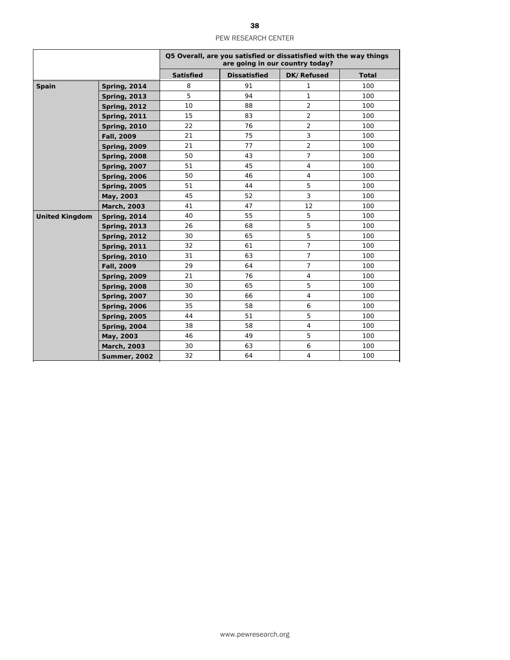|                       |                     | Q5 Overall, are you satisfied or dissatisfied with the way things<br>are going in our country today? |                     |                |              |
|-----------------------|---------------------|------------------------------------------------------------------------------------------------------|---------------------|----------------|--------------|
|                       |                     | <b>Satisfied</b>                                                                                     | <b>Dissatisfied</b> | DK/Refused     | <b>Total</b> |
| Spain                 | <b>Spring, 2014</b> | 8                                                                                                    | 91                  | 1              | 100          |
|                       | <b>Spring, 2013</b> | 5                                                                                                    | 94                  | $\mathbf{1}$   | 100          |
|                       | <b>Spring, 2012</b> | 10                                                                                                   | 88                  | $\overline{2}$ | 100          |
|                       | <b>Spring, 2011</b> | 15                                                                                                   | 83                  | $\overline{2}$ | 100          |
|                       | <b>Spring, 2010</b> | 22                                                                                                   | 76                  | 2              | 100          |
|                       | Fall, 2009          | 21                                                                                                   | 75                  | 3              | 100          |
|                       | <b>Spring, 2009</b> | 21                                                                                                   | 77                  | 2              | 100          |
|                       | <b>Spring, 2008</b> | 50                                                                                                   | 43                  | $\overline{7}$ | 100          |
|                       | <b>Spring, 2007</b> | 51                                                                                                   | 45                  | 4              | 100          |
|                       | <b>Spring, 2006</b> | 50                                                                                                   | 46                  | $\overline{4}$ | 100          |
|                       | <b>Spring, 2005</b> | 51                                                                                                   | 44                  | 5              | 100          |
|                       | May, 2003           | 45                                                                                                   | 52                  | 3              | 100          |
|                       | March, 2003         | 41                                                                                                   | 47                  | 12             | 100          |
| <b>United Kingdom</b> | <b>Spring, 2014</b> | 40                                                                                                   | 55                  | 5              | 100          |
|                       | <b>Spring, 2013</b> | 26                                                                                                   | 68                  | 5              | 100          |
|                       | <b>Spring, 2012</b> | 30                                                                                                   | 65                  | 5              | 100          |
|                       | <b>Spring, 2011</b> | 32                                                                                                   | 61                  | $\overline{7}$ | 100          |
|                       | <b>Spring, 2010</b> | 31                                                                                                   | 63                  | $\overline{7}$ | 100          |
|                       | Fall, 2009          | 29                                                                                                   | 64                  | $\overline{7}$ | 100          |
|                       | <b>Spring, 2009</b> | 21                                                                                                   | 76                  | $\overline{4}$ | 100          |
|                       | <b>Spring, 2008</b> | 30                                                                                                   | 65                  | 5              | 100          |
|                       | <b>Spring, 2007</b> | 30                                                                                                   | 66                  | $\overline{4}$ | 100          |
|                       | <b>Spring, 2006</b> | 35                                                                                                   | 58                  | 6              | 100          |
|                       | <b>Spring, 2005</b> | 44                                                                                                   | 51                  | 5              | 100          |
|                       | <b>Spring, 2004</b> | 38                                                                                                   | 58                  | $\overline{4}$ | 100          |
|                       | May, 2003           | 46                                                                                                   | 49                  | 5              | 100          |
|                       | March, 2003         | 30                                                                                                   | 63                  | 6              | 100          |
|                       | <b>Summer, 2002</b> | 32                                                                                                   | 64                  | $\overline{4}$ | 100          |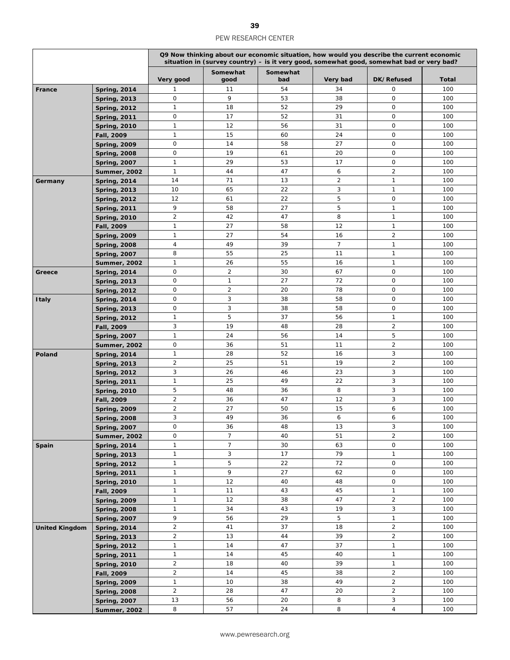|                       |                     |                | Q9 Now thinking about our economic situation, how would you describe the current economic<br>situation in (survey country) – is it very good, somewhat good, somewhat bad or very bad? |                 |                |                     |       |  |
|-----------------------|---------------------|----------------|----------------------------------------------------------------------------------------------------------------------------------------------------------------------------------------|-----------------|----------------|---------------------|-------|--|
|                       |                     | Very good      | Somewhat<br>good                                                                                                                                                                       | Somewhat<br>bad | Very bad       | DK/Refused          | Total |  |
| France                | <b>Spring, 2014</b> | $\mathbf{1}$   | 11                                                                                                                                                                                     | 54              | 34             | 0                   | 100   |  |
|                       | <b>Spring, 2013</b> | 0              | 9                                                                                                                                                                                      | 53              | 38             | 0                   | 100   |  |
|                       | <b>Spring, 2012</b> | $\mathbf{1}$   | 18                                                                                                                                                                                     | 52              | 29             | 0                   | 100   |  |
|                       | <b>Spring, 2011</b> | $\mathbf{O}$   | 17                                                                                                                                                                                     | 52              | 31             | 0                   | 100   |  |
|                       | <b>Spring, 2010</b> | $\mathbf{1}$   | 12                                                                                                                                                                                     | 56              | 31             | $\mathsf{O}$        | 100   |  |
|                       | Fall, 2009          | $\mathbf{1}$   | 15                                                                                                                                                                                     | 60              | 24             | 0                   | 100   |  |
|                       | <b>Spring, 2009</b> | 0              | 14                                                                                                                                                                                     | 58              | 27             | 0                   | 100   |  |
|                       | <b>Spring, 2008</b> | 0              | 19                                                                                                                                                                                     | 61              | 20             | 0                   | 100   |  |
|                       | <b>Spring, 2007</b> | $\mathbf{1}$   | 29                                                                                                                                                                                     | 53              | 17             | 0                   | 100   |  |
|                       | <b>Summer, 2002</b> | $\mathbf{1}$   | 44                                                                                                                                                                                     | 47              | 6              | $\overline{2}$      | 100   |  |
| Germany               | <b>Spring, 2014</b> | 14             | 71                                                                                                                                                                                     | 13              | $\overline{2}$ | $\mathbf{1}$        | 100   |  |
|                       | <b>Spring, 2013</b> | 10             | 65                                                                                                                                                                                     | 22              | 3              | $\mathbf{1}$        | 100   |  |
|                       | <b>Spring, 2012</b> | 12             | 61                                                                                                                                                                                     | 22              | 5              | $\mathsf O$         | 100   |  |
|                       | <b>Spring, 2011</b> | 9              | 58                                                                                                                                                                                     | 27              | 5              | $\mathbf{1}$        | 100   |  |
|                       | <b>Spring, 2010</b> | $\overline{2}$ | 42                                                                                                                                                                                     | 47              | 8              | $\mathbf{1}$        | 100   |  |
|                       | Fall, 2009          | $\mathbf{1}$   | 27                                                                                                                                                                                     | 58              | 12             | $\mathbf{1}$        | 100   |  |
|                       | <b>Spring, 2009</b> | $\mathbf{1}$   | 27                                                                                                                                                                                     | 54              | 16             | $\overline{2}$      | 100   |  |
|                       | <b>Spring, 2008</b> | 4              | 49                                                                                                                                                                                     | 39              | $\overline{7}$ | $\mathbf{1}$        | 100   |  |
|                       | <b>Spring, 2007</b> | 8              | 55                                                                                                                                                                                     | 25              | 11             | $\mathbf{1}$        | 100   |  |
|                       | <b>Summer, 2002</b> | $\mathbf{1}$   | 26                                                                                                                                                                                     | 55              | 16             | $\mathbf{1}$        | 100   |  |
| Greece                | <b>Spring, 2014</b> | $\mathsf O$    | $\overline{2}$                                                                                                                                                                         | 30              | 67             | 0                   | 100   |  |
|                       | <b>Spring, 2013</b> | 0              | $\mathbf{1}$                                                                                                                                                                           | 27              | 72             | 0                   | 100   |  |
|                       | <b>Spring, 2012</b> | 0              | $\overline{2}$                                                                                                                                                                         | 20              | 78             | 0                   | 100   |  |
| <b>Italy</b>          | <b>Spring, 2014</b> | $\mathbf{O}$   | 3                                                                                                                                                                                      | 38              | 58             | 0                   | 100   |  |
|                       | <b>Spring, 2013</b> | 0              | 3                                                                                                                                                                                      | 38              | 58             | 0                   | 100   |  |
|                       | <b>Spring, 2012</b> | $\mathbf{1}$   | 5                                                                                                                                                                                      | 37              | 56             | $\mathbf{1}$        | 100   |  |
|                       | Fall, 2009          | 3              | 19                                                                                                                                                                                     | 48              | 28             | $\overline{2}$      | 100   |  |
|                       | <b>Spring, 2007</b> | $\mathbf{1}$   | 24                                                                                                                                                                                     | 56              | 14             | 5                   | 100   |  |
|                       | Summer, 2002        | $\mathbf 0$    | 36                                                                                                                                                                                     | 51              | 11             | $\overline{2}$      | 100   |  |
| Poland                | <b>Spring, 2014</b> | $\mathbf{1}$   | 28                                                                                                                                                                                     | 52              | 16             | 3                   | 100   |  |
|                       | <b>Spring, 2013</b> | $\overline{c}$ | 25                                                                                                                                                                                     | 51              | 19             | $\overline{2}$      | 100   |  |
|                       | <b>Spring, 2012</b> | 3              | 26                                                                                                                                                                                     | 46              | 23             | 3                   | 100   |  |
|                       | <b>Spring, 2011</b> | $\mathbf{1}$   | 25                                                                                                                                                                                     | 49              | 22             | 3                   | 100   |  |
|                       | <b>Spring, 2010</b> | 5              | 48                                                                                                                                                                                     | 36              | 8              | 3                   | 100   |  |
|                       | Fall, 2009          | $\overline{c}$ | 36                                                                                                                                                                                     | 47              | 12             | 3                   | 100   |  |
|                       | <b>Spring, 2009</b> | $\overline{2}$ | 27                                                                                                                                                                                     | 50              | 15             | 6                   | 100   |  |
|                       | <b>Spring, 2008</b> | 3              | 49                                                                                                                                                                                     | 36              | 6              | 6                   | 100   |  |
|                       | <b>Spring, 2007</b> | 0              | 36                                                                                                                                                                                     | 48              | 13             | 3                   | 100   |  |
|                       | <b>Summer, 2002</b> | 0              | $\overline{7}$                                                                                                                                                                         | 40              | 51             | $\overline{2}$      | 100   |  |
| Spain                 | <b>Spring, 2014</b> | $\mathbf{1}$   | $\overline{7}$                                                                                                                                                                         | 30              | 63             | 0                   | 100   |  |
|                       | <b>Spring, 2013</b> | $\mathbf{1}$   | 3                                                                                                                                                                                      | 17              | 79             | $\mathbf{1}$        | 100   |  |
|                       | <b>Spring, 2012</b> | $\mathbf{1}$   | 5                                                                                                                                                                                      | 22              | 72             | $\mathsf{O}\xspace$ | 100   |  |
|                       | <b>Spring, 2011</b> | $\mathbf{1}$   | 9                                                                                                                                                                                      | 27              | 62             | 0                   | 100   |  |
|                       | <b>Spring, 2010</b> | $\mathbf{1}$   | 12                                                                                                                                                                                     | 40              | 48             | 0                   | 100   |  |
|                       | Fall, 2009          | $\mathbf{1}$   | 11                                                                                                                                                                                     | 43              | 45             | $\mathbf{1}$        | 100   |  |
|                       | <b>Spring, 2009</b> | $\mathbf{1}$   | 12                                                                                                                                                                                     | 38              | 47             | $\overline{2}$      | 100   |  |
|                       | <b>Spring, 2008</b> | $\mathbf{1}$   | 34                                                                                                                                                                                     | 43              | 19             | 3                   | 100   |  |
|                       | <b>Spring, 2007</b> | 9              | 56                                                                                                                                                                                     | 29              | 5              | $\mathbf{1}$        | 100   |  |
| <b>United Kingdom</b> | <b>Spring, 2014</b> | $\overline{2}$ | 41                                                                                                                                                                                     | 37              | 18             | $\overline{a}$      | 100   |  |
|                       | <b>Spring, 2013</b> | $\sqrt{2}$     | 13                                                                                                                                                                                     | 44              | 39             | $\overline{a}$      | 100   |  |
|                       | <b>Spring, 2012</b> | $\mathbf{1}$   | 14                                                                                                                                                                                     | 47              | 37             | $\mathbf{1}$        | 100   |  |
|                       | <b>Spring, 2011</b> | $\mathbf{1}$   | 14                                                                                                                                                                                     | 45              | 40             | $\mathbf{1}$        | 100   |  |
|                       | <b>Spring, 2010</b> | $\overline{c}$ | 18                                                                                                                                                                                     | 40              | 39             | $\mathbf{1}$        | 100   |  |
|                       | Fall, 2009          | $\overline{2}$ | 14                                                                                                                                                                                     | 45              | 38             | $\overline{2}$      | 100   |  |
|                       | <b>Spring, 2009</b> | $\mathbf{1}$   | 10                                                                                                                                                                                     | 38              | 49             | $\overline{2}$      | 100   |  |
|                       | <b>Spring, 2008</b> | $\overline{2}$ | 28                                                                                                                                                                                     | 47              | 20             | $\overline{2}$      | 100   |  |
|                       | <b>Spring, 2007</b> | 13             | 56                                                                                                                                                                                     | 20              | 8              | 3                   | 100   |  |
|                       | <b>Summer, 2002</b> | 8              | 57                                                                                                                                                                                     | 24              | 8              | $\overline{a}$      | 100   |  |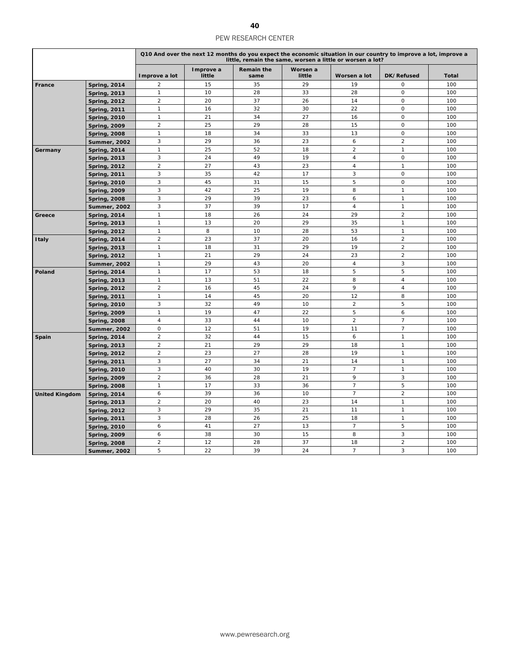|                       |                     |                |                     |                           |                    | little, remain the same, worsen a little or worsen a lot? | Q10 And over the next 12 months do you expect the economic situation in our country to improve a lot, improve a |              |
|-----------------------|---------------------|----------------|---------------------|---------------------------|--------------------|-----------------------------------------------------------|-----------------------------------------------------------------------------------------------------------------|--------------|
|                       |                     | Improve a lot  | Improve a<br>little | <b>Remain the</b><br>same | Worsen a<br>little | Worsen a lot                                              | DK/Refused                                                                                                      | <b>Total</b> |
| France                | <b>Spring, 2014</b> | $\overline{2}$ | 15                  | 35                        | 29                 | 19                                                        | $\mathsf O$                                                                                                     | 100          |
|                       | <b>Spring, 2013</b> | $\mathbf{1}$   | 10                  | 28                        | 33                 | 28                                                        | $\mathsf O$                                                                                                     | 100          |
|                       | <b>Spring, 2012</b> | $\overline{2}$ | 20                  | 37                        | 26                 | 14                                                        | $\mathbf 0$                                                                                                     | 100          |
|                       | <b>Spring, 2011</b> | $\mathbf{1}$   | 16                  | 32                        | 30                 | 22                                                        | $\mathbf 0$                                                                                                     | 100          |
|                       | <b>Spring, 2010</b> | $\mathbf{1}$   | 21                  | 34                        | 27                 | 16                                                        | $\mathsf O$                                                                                                     | 100          |
|                       | <b>Spring, 2009</b> | $\overline{2}$ | 25                  | 29                        | 28                 | 15                                                        | $\mathsf O$                                                                                                     | 100          |
|                       | <b>Spring, 2008</b> | $\mathbf{1}$   | 18                  | 34                        | 33                 | 13                                                        | $\mathsf O$                                                                                                     | 100          |
|                       | <b>Summer, 2002</b> | 3              | 29                  | 36                        | 23                 | 6                                                         | $\overline{2}$                                                                                                  | 100          |
| Germany               | <b>Spring, 2014</b> | $\mathbf{1}$   | 25                  | 52                        | 18                 | $\overline{c}$                                            | $\mathbf{1}$                                                                                                    | 100          |
|                       | <b>Spring, 2013</b> | 3              | 24                  | 49                        | 19                 | $\overline{\mathbf{4}}$                                   | $\mathsf O$                                                                                                     | 100          |
|                       | <b>Spring, 2012</b> | 2              | 27                  | 43                        | 23                 | 4                                                         | $\mathbf{1}$                                                                                                    | 100          |
|                       | <b>Spring, 2011</b> | 3              | 35                  | 42                        | 17                 | 3                                                         | $\mathsf O$                                                                                                     | 100          |
|                       | <b>Spring, 2010</b> | $\sqrt{3}$     | 45                  | 31                        | 15                 | 5                                                         | $\mathbf 0$                                                                                                     | 100          |
|                       | <b>Spring, 2009</b> | 3              | 42                  | 25                        | 19                 | 8                                                         | $\mathbf{1}$                                                                                                    | 100          |
|                       | <b>Spring, 2008</b> | 3              | 29                  | 39                        | 23                 | 6                                                         | $\mathbf{1}$                                                                                                    | 100          |
|                       | Summer, 2002        | 3              | 37                  | 39                        | 17                 | $\overline{4}$                                            | $\mathbf{1}$                                                                                                    | 100          |
| Greece                | <b>Spring, 2014</b> | $\mathbf{1}$   | 18                  | 26                        | 24                 | 29                                                        | $\overline{c}$                                                                                                  | 100          |
|                       | <b>Spring, 2013</b> | $\mathbf{1}$   | 13                  | 20                        | 29                 | 35                                                        | $\mathbf{1}$                                                                                                    | 100          |
|                       | <b>Spring, 2012</b> | $\mathbf{1}$   | 8                   | 10                        | 28                 | 53                                                        | $\mathbf{1}$                                                                                                    | 100          |
| <b>Italy</b>          | <b>Spring, 2014</b> | $\overline{2}$ | 23                  | 37                        | 20                 | 16                                                        | $\overline{2}$                                                                                                  | 100          |
|                       | <b>Spring, 2013</b> | $\mathbf{1}$   | 18                  | 31                        | 29                 | 19                                                        | $\overline{2}$                                                                                                  | 100          |
|                       | <b>Spring, 2012</b> | $\mathbf{1}$   | 21                  | 29                        | 24                 | 23                                                        | $\overline{2}$                                                                                                  | 100          |
|                       | Summer, 2002        | $\mathbf{1}$   | 29                  | 43                        | 20                 | 4                                                         | 3                                                                                                               | 100          |
| Poland                | <b>Spring, 2014</b> | $\mathbf{1}$   | 17                  | 53                        | 18                 | 5                                                         | 5                                                                                                               | 100          |
|                       | <b>Spring, 2013</b> | $\mathbf{1}$   | 13                  | 51                        | 22                 | 8                                                         | $\overline{4}$                                                                                                  | 100          |
|                       | <b>Spring, 2012</b> | $\sqrt{2}$     | 16                  | 45                        | 24                 | 9                                                         | $\overline{4}$                                                                                                  | 100          |
|                       | <b>Spring, 2011</b> | $\mathbf{1}$   | 14                  | 45                        | 20                 | 12                                                        | 8                                                                                                               | 100          |
|                       | <b>Spring, 2010</b> | 3              | 32                  | 49                        | 10                 | $\overline{c}$                                            | 5                                                                                                               | 100          |
|                       | <b>Spring, 2009</b> | $\mathbf{1}$   | 19                  | 47                        | 22                 | 5                                                         | 6                                                                                                               | 100          |
|                       | <b>Spring, 2008</b> | $\overline{4}$ | 33                  | 44                        | 10                 | $\overline{2}$                                            | $\overline{7}$                                                                                                  | 100          |
|                       | Summer, 2002        | $\mathsf O$    | 12                  | 51                        | 19                 | 11                                                        | $\overline{7}$                                                                                                  | 100          |
| Spain                 | <b>Spring, 2014</b> | 2              | 32                  | 44                        | 15                 | 6                                                         | $\mathbf{1}$                                                                                                    | 100          |
|                       | <b>Spring, 2013</b> | 2              | 21                  | 29                        | 29                 | 18                                                        | $\mathbf{1}$                                                                                                    | 100          |
|                       | <b>Spring, 2012</b> | $\overline{2}$ | 23                  | 27                        | 28                 | 19                                                        | $\mathbf{1}$                                                                                                    | 100          |
|                       | <b>Spring, 2011</b> | 3              | 27                  | 34                        | 21                 | 14                                                        | $\mathbf{1}$                                                                                                    | 100          |
|                       | <b>Spring, 2010</b> | 3              | 40                  | 30                        | 19                 | $\overline{7}$                                            | $\mathbf{1}$                                                                                                    | 100          |
|                       | <b>Spring, 2009</b> | $\overline{2}$ | 36                  | 28                        | 21                 | 9                                                         | 3                                                                                                               | 100          |
|                       | <b>Spring, 2008</b> | $\mathbf{1}$   | 17                  | 33                        | 36                 | $\overline{7}$                                            | 5                                                                                                               | 100          |
| <b>United Kingdom</b> | <b>Spring, 2014</b> | 6              | 39                  | 36                        | 10                 | $\overline{7}$                                            | $\overline{c}$                                                                                                  | 100          |
|                       | <b>Spring, 2013</b> | $\overline{2}$ | 20                  | 40                        | 23                 | 14                                                        | $\mathbf{1}$                                                                                                    | 100          |
|                       | <b>Spring, 2012</b> | 3              | 29                  | 35                        | 21                 | 11                                                        | $\mathbf{1}$                                                                                                    | 100          |
|                       | <b>Spring, 2011</b> | $\sqrt{3}$     | 28                  | 26                        | 25                 | 18                                                        | $\mathbf{1}$                                                                                                    | 100          |
|                       | <b>Spring, 2010</b> | 6              | 41                  | 27                        | 13                 | $\overline{7}$                                            | 5                                                                                                               | 100          |
|                       | <b>Spring, 2009</b> | 6              | 38                  | 30                        | 15                 | 8                                                         | 3                                                                                                               | 100          |
|                       | <b>Spring, 2008</b> | $\overline{2}$ | 12                  | 28                        | 37                 | 18                                                        | $\overline{2}$                                                                                                  | 100          |
|                       | <b>Summer, 2002</b> | 5              | 22                  | 39                        | 24                 | $\overline{7}$                                            | 3                                                                                                               | 100          |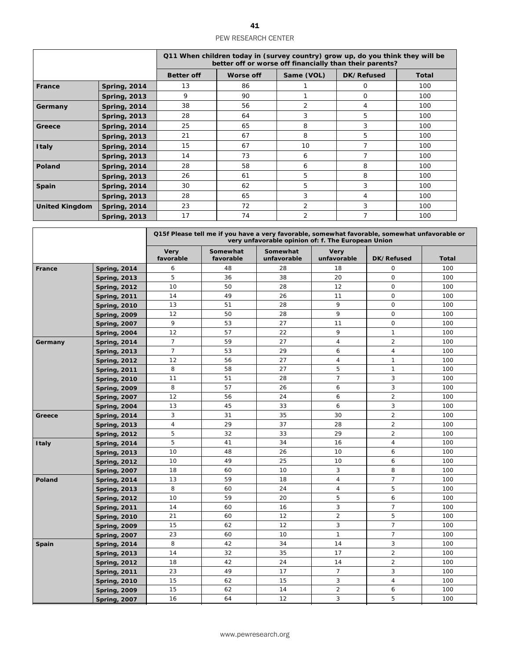|                       |                     |                   | Q11 When children today in (survey country) grow up, do you think they will be<br>better off or worse off financially than their parents? |                |                |              |
|-----------------------|---------------------|-------------------|-------------------------------------------------------------------------------------------------------------------------------------------|----------------|----------------|--------------|
|                       |                     | <b>Better off</b> | Worse off                                                                                                                                 | Same (VOL)     | DK/Refused     | <b>Total</b> |
| France                | <b>Spring, 2014</b> | 13                | 86                                                                                                                                        |                | $\Omega$       | 100          |
|                       | <b>Spring, 2013</b> | 9                 | 90                                                                                                                                        |                | $\Omega$       | 100          |
| Germany               | <b>Spring, 2014</b> | 38                | 56                                                                                                                                        | $\overline{2}$ | 4              | 100          |
|                       | <b>Spring, 2013</b> | 28                | 64                                                                                                                                        | 3              | 5              | 100          |
| Greece                | <b>Spring, 2014</b> | 25                | 65                                                                                                                                        | 8              | 3              | 100          |
|                       | <b>Spring, 2013</b> | 21                | 67                                                                                                                                        | 8              | 5              | 100          |
| <b>Italy</b>          | <b>Spring, 2014</b> | 15                | 67                                                                                                                                        | 10             | 7              | 100          |
|                       | <b>Spring, 2013</b> | 14                | 73                                                                                                                                        | 6              | 7              | 100          |
| Poland                | <b>Spring, 2014</b> | 28                | 58                                                                                                                                        | 6              | 8              | 100          |
|                       | <b>Spring, 2013</b> | 26                | 61                                                                                                                                        | 5              | 8              | 100          |
| Spain                 | <b>Spring, 2014</b> | 30                | 62                                                                                                                                        | 5.             | 3              | 100          |
|                       | <b>Spring, 2013</b> | 28                | 65                                                                                                                                        | 3              | 4              | 100          |
| <b>United Kingdom</b> | <b>Spring, 2014</b> | 23                | 72                                                                                                                                        | 2              | 3              | 100          |
|                       | <b>Spring, 2013</b> | 17                | 74                                                                                                                                        | 2              | $\overline{7}$ | 100          |

|         |                     |                          |                       |                         | Q15f Please tell me if you have a very favorable, somewhat favorable, somewhat unfavorable or<br>very unfavorable opinion of: f. The European Union |                |              |
|---------|---------------------|--------------------------|-----------------------|-------------------------|-----------------------------------------------------------------------------------------------------------------------------------------------------|----------------|--------------|
|         |                     | <b>Very</b><br>favorable | Somewhat<br>favorable | Somewhat<br>unfavorable | <b>Very</b><br>unfavorable                                                                                                                          | DK/Refused     | <b>Total</b> |
| France  | <b>Spring, 2014</b> | 6                        | 48                    | 28                      | 18                                                                                                                                                  | 0              | 100          |
|         | <b>Spring, 2013</b> | 5                        | 36                    | 38                      | 20                                                                                                                                                  | $\mathbf 0$    | 100          |
|         | <b>Spring, 2012</b> | 10                       | 50                    | 28                      | 12                                                                                                                                                  | $\mathbf 0$    | 100          |
|         | <b>Spring, 2011</b> | 14                       | 49                    | 26                      | 11                                                                                                                                                  | $\mathsf O$    | 100          |
|         | <b>Spring, 2010</b> | 13                       | 51                    | 28                      | 9                                                                                                                                                   | $\mathbf 0$    | 100          |
|         | <b>Spring, 2009</b> | 12                       | 50                    | 28                      | 9                                                                                                                                                   | $\mathbf 0$    | 100          |
|         | <b>Spring, 2007</b> | 9                        | 53                    | 27                      | 11                                                                                                                                                  | $\mathbf 0$    | 100          |
|         | <b>Spring, 2004</b> | 12                       | 57                    | 22                      | 9                                                                                                                                                   | $\mathbf{1}$   | 100          |
| Germany | <b>Spring, 2014</b> | $\overline{7}$           | 59                    | 27                      | $\overline{4}$                                                                                                                                      | $\overline{2}$ | 100          |
|         | <b>Spring, 2013</b> | $\overline{7}$           | 53                    | 29                      | 6                                                                                                                                                   | $\overline{4}$ | 100          |
|         | <b>Spring, 2012</b> | 12                       | 56                    | 27                      | $\overline{4}$                                                                                                                                      | $\mathbf{1}$   | 100          |
|         | <b>Spring, 2011</b> | 8                        | 58                    | 27                      | 5                                                                                                                                                   | $\mathbf{1}$   | 100          |
|         | <b>Spring, 2010</b> | 11                       | 51                    | 28                      | $\overline{7}$                                                                                                                                      | 3              | 100          |
|         | <b>Spring, 2009</b> | 8                        | 57                    | 26                      | 6                                                                                                                                                   | 3              | 100          |
|         | <b>Spring, 2007</b> | 12                       | 56                    | 24                      | 6                                                                                                                                                   | $\overline{2}$ | 100          |
|         | <b>Spring, 2004</b> | 13                       | 45                    | 33                      | 6                                                                                                                                                   | 3              | 100          |
| Greece  | <b>Spring, 2014</b> | 3                        | 31                    | 35                      | 30                                                                                                                                                  | $\overline{2}$ | 100          |
|         | <b>Spring, 2013</b> | $\overline{4}$           | 29                    | 37                      | 28                                                                                                                                                  | $\overline{2}$ | 100          |
|         | <b>Spring, 2012</b> | 5                        | 32                    | 33                      | 29                                                                                                                                                  | $\overline{2}$ | 100          |
| Italy   | <b>Spring, 2014</b> | 5                        | 41                    | 34                      | 16                                                                                                                                                  | $\overline{4}$ | 100          |
|         | <b>Spring, 2013</b> | 10                       | 48                    | 26                      | 10                                                                                                                                                  | 6              | 100          |
|         | <b>Spring, 2012</b> | 10                       | 49                    | 25                      | 10                                                                                                                                                  | 6              | 100          |
|         | <b>Spring, 2007</b> | 18                       | 60                    | 10                      | 3                                                                                                                                                   | 8              | 100          |
| Poland  | <b>Spring, 2014</b> | 13                       | 59                    | 18                      | $\overline{4}$                                                                                                                                      | $\overline{7}$ | 100          |
|         | <b>Spring, 2013</b> | 8                        | 60                    | 24                      | $\overline{4}$                                                                                                                                      | 5              | 100          |
|         | <b>Spring, 2012</b> | 10                       | 59                    | 20                      | 5                                                                                                                                                   | 6              | 100          |
|         | <b>Spring, 2011</b> | 14                       | 60                    | 16                      | 3                                                                                                                                                   | $\overline{7}$ | 100          |
|         | <b>Spring, 2010</b> | 21                       | 60                    | 12                      | $\overline{2}$                                                                                                                                      | 5              | 100          |
|         | <b>Spring, 2009</b> | 15                       | 62                    | 12                      | 3                                                                                                                                                   | $\overline{7}$ | 100          |
|         | <b>Spring, 2007</b> | 23                       | 60                    | 10                      | $\mathbf{1}$                                                                                                                                        | $\overline{7}$ | 100          |
| Spain   | <b>Spring, 2014</b> | 8                        | 42                    | 34                      | 14                                                                                                                                                  | 3              | 100          |
|         | <b>Spring, 2013</b> | 14                       | 32                    | 35                      | 17                                                                                                                                                  | 2              | 100          |
|         | <b>Spring, 2012</b> | 18                       | 42                    | 24                      | 14                                                                                                                                                  | $\overline{2}$ | 100          |
|         | <b>Spring, 2011</b> | 23                       | 49                    | 17                      | $\overline{7}$                                                                                                                                      | 3              | 100          |
|         | <b>Spring, 2010</b> | 15                       | 62                    | 15                      | 3                                                                                                                                                   | $\overline{4}$ | 100          |
|         | <b>Spring, 2009</b> | 15                       | 62                    | 14                      | 2                                                                                                                                                   | 6              | 100          |
|         | <b>Spring, 2007</b> | 16                       | 64                    | 12                      | 3                                                                                                                                                   | 5              | 100          |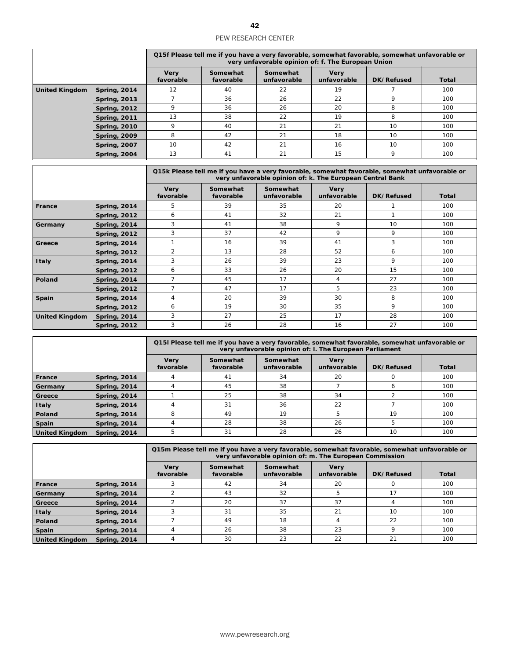|                       |                     | Q15f Please tell me if you have a very favorable, somewhat favorable, somewhat unfavorable or<br>very unfavorable opinion of: f. The European Union |                       |                         |                            |            |       |  |  |
|-----------------------|---------------------|-----------------------------------------------------------------------------------------------------------------------------------------------------|-----------------------|-------------------------|----------------------------|------------|-------|--|--|
|                       |                     | <b>Very</b><br>favorable                                                                                                                            | Somewhat<br>favorable | Somewhat<br>unfavorable | <b>Very</b><br>unfavorable | DK/Refused | Total |  |  |
| <b>United Kingdom</b> | <b>Spring, 2014</b> | 12                                                                                                                                                  | 40                    | 22                      | 19                         |            | 100   |  |  |
|                       | <b>Spring, 2013</b> |                                                                                                                                                     | 36                    | 26                      | 22                         | 9          | 100   |  |  |
|                       | <b>Spring, 2012</b> |                                                                                                                                                     | 36                    | 26                      | 20                         | 8          | 100   |  |  |
|                       | <b>Spring, 2011</b> | 13                                                                                                                                                  | 38                    | 22                      | 19                         | 8          | 100   |  |  |
|                       | <b>Spring, 2010</b> |                                                                                                                                                     | 40                    | 21                      | 21                         | 10         | 100   |  |  |
|                       | <b>Spring, 2009</b> | 8                                                                                                                                                   | 42                    | 21                      | 18                         | 10         | 100   |  |  |
|                       | <b>Spring, 2007</b> | 10                                                                                                                                                  | 42                    | 21                      | 16                         | 10         | 100   |  |  |
|                       | <b>Spring, 2004</b> | 13                                                                                                                                                  | 41                    | 21                      | 15                         | 9          | 100   |  |  |

|                       |                     | Q15k Please tell me if you have a very favorable, somewhat favorable, somewhat unfavorable or<br>very unfavorable opinion of: k. The European Central Bank |                       |                         |                            |            |              |  |  |
|-----------------------|---------------------|------------------------------------------------------------------------------------------------------------------------------------------------------------|-----------------------|-------------------------|----------------------------|------------|--------------|--|--|
|                       |                     | <b>Very</b><br>favorable                                                                                                                                   | Somewhat<br>favorable | Somewhat<br>unfavorable | <b>Very</b><br>unfavorable | DK/Refused | <b>Total</b> |  |  |
| France                | <b>Spring, 2014</b> | 5                                                                                                                                                          | 39                    | 35                      | 20                         |            | 100          |  |  |
|                       | <b>Spring, 2012</b> | 6                                                                                                                                                          | 41                    | 32                      | 21                         |            | 100          |  |  |
| Germany               | <b>Spring, 2014</b> | 3                                                                                                                                                          | 41                    | 38                      | 9                          | 10         | 100          |  |  |
|                       | <b>Spring, 2012</b> | 3                                                                                                                                                          | 37                    | 42                      | 9                          | 9          | 100          |  |  |
| Greece                | <b>Spring, 2014</b> |                                                                                                                                                            | 16                    | 39                      | 41                         | 3          | 100          |  |  |
|                       | <b>Spring, 2012</b> | $\overline{2}$                                                                                                                                             | 13                    | 28                      | 52                         | 6          | 100          |  |  |
| <b>Italy</b>          | <b>Spring, 2014</b> | 3                                                                                                                                                          | 26                    | 39                      | 23                         | 9          | 100          |  |  |
|                       | <b>Spring, 2012</b> | 6                                                                                                                                                          | 33                    | 26                      | 20                         | 15         | 100          |  |  |
| Poland                | <b>Spring, 2014</b> | 7                                                                                                                                                          | 45                    | 17                      | 4                          | 27         | 100          |  |  |
|                       | <b>Spring, 2012</b> | 7                                                                                                                                                          | 47                    | 17                      | 5                          | 23         | 100          |  |  |
| Spain                 | Spring, 2014        | 4                                                                                                                                                          | 20                    | 39                      | 30                         | 8          | 100          |  |  |
|                       | <b>Spring, 2012</b> | 6                                                                                                                                                          | 19                    | 30                      | 35                         | 9          | 100          |  |  |
| <b>United Kingdom</b> | <b>Spring, 2014</b> | 3                                                                                                                                                          | 27                    | 25                      | 17                         | 28         | 100          |  |  |
|                       | <b>Spring, 2012</b> | 3                                                                                                                                                          | 26                    | 28                      | 16                         | 27         | 100          |  |  |

|                       |                     | Q15I Please tell me if you have a very favorable, somewhat favorable, somewhat unfavorable or<br>very unfavorable opinion of: I. The European Parliament |                       |                         |                            |            |              |  |  |  |
|-----------------------|---------------------|----------------------------------------------------------------------------------------------------------------------------------------------------------|-----------------------|-------------------------|----------------------------|------------|--------------|--|--|--|
|                       |                     | <b>Very</b><br>favorable                                                                                                                                 | Somewhat<br>favorable | Somewhat<br>unfavorable | <b>Very</b><br>unfavorable | DK/Refused | <b>Total</b> |  |  |  |
| France                | <b>Spring, 2014</b> |                                                                                                                                                          | 41                    | 34                      | 20                         |            | 100          |  |  |  |
| Germany               | <b>Spring, 2014</b> |                                                                                                                                                          | 45                    | 38                      |                            | ь          | 100          |  |  |  |
| Greece                | <b>Spring, 2014</b> |                                                                                                                                                          | 25                    | 38                      | 34                         |            | 100          |  |  |  |
| Italy                 | <b>Spring, 2014</b> |                                                                                                                                                          | 31                    | 36                      | 22                         |            | 100          |  |  |  |
| <b>Poland</b>         | <b>Spring, 2014</b> | 8                                                                                                                                                        | 49                    | 19                      |                            | 19         | 100          |  |  |  |
| <b>Spain</b>          | <b>Spring, 2014</b> |                                                                                                                                                          | 28                    | 38                      | 26                         |            | 100          |  |  |  |
| <b>United Kingdom</b> | <b>Spring, 2014</b> |                                                                                                                                                          | 31                    | 28                      | 26                         | 10         | 100          |  |  |  |

|                       |                     |                          | Q15m Please tell me if you have a very favorable, somewhat favorable, somewhat unfavorable or<br>very unfavorable opinion of: m. The European Commission |                         |                            |            |              |  |  |  |
|-----------------------|---------------------|--------------------------|----------------------------------------------------------------------------------------------------------------------------------------------------------|-------------------------|----------------------------|------------|--------------|--|--|--|
|                       |                     | <b>Very</b><br>favorable | Somewhat<br>favorable                                                                                                                                    | Somewhat<br>unfavorable | <b>Verv</b><br>unfavorable | DK/Refused | <b>Total</b> |  |  |  |
| France                | <b>Spring, 2014</b> |                          | 42                                                                                                                                                       | 34                      | 20                         |            | 100          |  |  |  |
| Germany               | <b>Spring, 2014</b> |                          | 43                                                                                                                                                       | 32                      |                            | 17         | 100          |  |  |  |
| Greece                | <b>Spring, 2014</b> |                          | 20                                                                                                                                                       | 37                      | 37                         |            | 100          |  |  |  |
| <b>Italy</b>          | <b>Spring, 2014</b> |                          | 31                                                                                                                                                       | 35                      | 21                         | 10         | 100          |  |  |  |
| <b>Poland</b>         | <b>Spring, 2014</b> |                          | 49                                                                                                                                                       | 18                      |                            | 22         | 100          |  |  |  |
| <b>Spain</b>          | <b>Spring, 2014</b> |                          | 26                                                                                                                                                       | 38                      | 23                         | Q          | 100          |  |  |  |
| <b>United Kingdom</b> | <b>Spring, 2014</b> |                          | 30                                                                                                                                                       | 23                      | 22                         | 21         | 100          |  |  |  |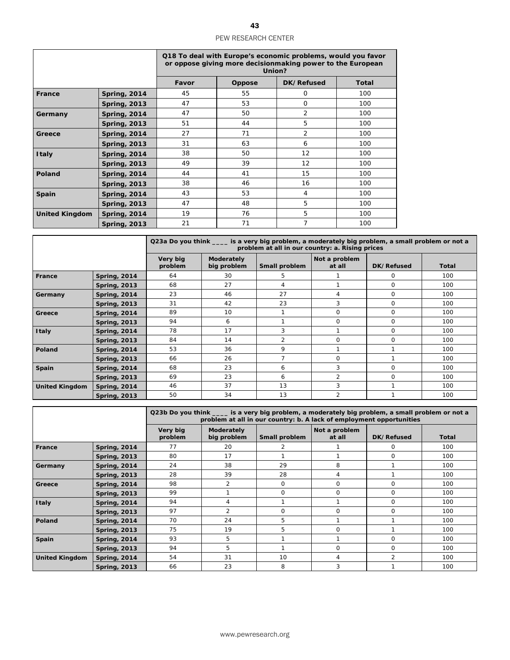|                       |                     | Q18 To deal with Europe's economic problems, would you favor<br>or oppose giving more decisionmaking power to the European<br>Union? |        |                |              |  |  |  |  |
|-----------------------|---------------------|--------------------------------------------------------------------------------------------------------------------------------------|--------|----------------|--------------|--|--|--|--|
|                       |                     | Favor                                                                                                                                | Oppose | DK/Refused     | <b>Total</b> |  |  |  |  |
| France                | <b>Spring, 2014</b> | 45                                                                                                                                   | 55     | O              | 100          |  |  |  |  |
|                       | <b>Spring, 2013</b> | 47                                                                                                                                   | 53     | $\Omega$       | 100          |  |  |  |  |
| Germany               | <b>Spring, 2014</b> | 47                                                                                                                                   | 50     | $\overline{2}$ | 100          |  |  |  |  |
|                       | <b>Spring, 2013</b> | 51                                                                                                                                   | 44     | 5              | 100          |  |  |  |  |
| Greece                | <b>Spring, 2014</b> | 27                                                                                                                                   | 71     | $\overline{2}$ | 100          |  |  |  |  |
|                       | <b>Spring, 2013</b> | 31                                                                                                                                   | 63     | 6              | 100          |  |  |  |  |
| <b>Italy</b>          | <b>Spring, 2014</b> | 38                                                                                                                                   | 50     | 12             | 100          |  |  |  |  |
|                       | <b>Spring, 2013</b> | 49                                                                                                                                   | 39     | 12             | 100          |  |  |  |  |
| Poland                | <b>Spring, 2014</b> | 44                                                                                                                                   | 41     | 15             | 100          |  |  |  |  |
|                       | <b>Spring, 2013</b> | 38                                                                                                                                   | 46     | 16             | 100          |  |  |  |  |
| Spain                 | <b>Spring, 2014</b> | 43                                                                                                                                   | 53     | 4              | 100          |  |  |  |  |
|                       | <b>Spring, 2013</b> | 47                                                                                                                                   | 48     | 5              | 100          |  |  |  |  |
| <b>United Kingdom</b> | <b>Spring, 2014</b> | 19                                                                                                                                   | 76     | 5              | 100          |  |  |  |  |
|                       | <b>Spring, 2013</b> | 21                                                                                                                                   | 71     | 7              | 100          |  |  |  |  |

|                       |                     | Q23a Do you think _____ is a very big problem, a moderately big problem, a small problem or not a<br>problem at all in our country: a. Rising prices |                           |               |                         |            |              |  |  |
|-----------------------|---------------------|------------------------------------------------------------------------------------------------------------------------------------------------------|---------------------------|---------------|-------------------------|------------|--------------|--|--|
|                       |                     | Very big<br>problem                                                                                                                                  | Moderately<br>big problem | Small problem | Not a problem<br>at all | DK/Refused | <b>Total</b> |  |  |
| France                | <b>Spring, 2014</b> | 64                                                                                                                                                   | 30                        | 5             |                         | $\Omega$   | 100          |  |  |
|                       | <b>Spring, 2013</b> | 68                                                                                                                                                   | 27                        | 4             |                         | 0          | 100          |  |  |
| Germany               | <b>Spring, 2014</b> | 23                                                                                                                                                   | 46                        | 27            | 4                       | 0          | 100          |  |  |
|                       | <b>Spring, 2013</b> | 31                                                                                                                                                   | 42                        | 23            | 3                       | $\Omega$   | 100          |  |  |
| Greece                | <b>Spring, 2014</b> | 89                                                                                                                                                   | 10                        |               | $\Omega$                | 0          | 100          |  |  |
|                       | <b>Spring, 2013</b> | 94                                                                                                                                                   | 6                         |               | $\Omega$                | 0          | 100          |  |  |
| <b>Italy</b>          | <b>Spring, 2014</b> | 78                                                                                                                                                   | 17                        | 3             |                         | 0          | 100          |  |  |
|                       | <b>Spring, 2013</b> | 84                                                                                                                                                   | 14                        | 2             | $\Omega$                | 0          | 100          |  |  |
| Poland                | <b>Spring, 2014</b> | 53                                                                                                                                                   | 36                        | 9             |                         |            | 100          |  |  |
|                       | <b>Spring, 2013</b> | 66                                                                                                                                                   | 26                        | 7             | $\Omega$                |            | 100          |  |  |
| Spain                 | <b>Spring, 2014</b> | 68                                                                                                                                                   | 23                        | 6             | 3                       | 0          | 100          |  |  |
|                       | <b>Spring, 2013</b> | 69                                                                                                                                                   | 23                        | 6             | $\overline{2}$          | $\Omega$   | 100          |  |  |
| <b>United Kingdom</b> | <b>Spring, 2014</b> | 46                                                                                                                                                   | 37                        | 13            | 3                       |            | 100          |  |  |
|                       | <b>Spring, 2013</b> | 50                                                                                                                                                   | 34                        | 13            | 2                       |            | 100          |  |  |

|                       |                     | Q23b Do you think ____ is a very big problem, a moderately big problem, a small problem or not a<br>problem at all in our country: b. A lack of employment opportunities |                           |               |                         |                |              |  |  |
|-----------------------|---------------------|--------------------------------------------------------------------------------------------------------------------------------------------------------------------------|---------------------------|---------------|-------------------------|----------------|--------------|--|--|
|                       |                     | Very big<br>problem                                                                                                                                                      | Moderately<br>big problem | Small problem | Not a problem<br>at all | DK/Refused     | <b>Total</b> |  |  |
| France                | <b>Spring, 2014</b> | 77                                                                                                                                                                       | 20                        | 2             |                         | $\Omega$       | 100          |  |  |
|                       | <b>Spring, 2013</b> | 80                                                                                                                                                                       | 17                        |               |                         | $\Omega$       | 100          |  |  |
| Germany               | <b>Spring, 2014</b> | 24                                                                                                                                                                       | 38                        | 29            | 8                       |                | 100          |  |  |
|                       | <b>Spring, 2013</b> | 28                                                                                                                                                                       | 39                        | 28            | 4                       |                | 100          |  |  |
| Greece                | <b>Spring, 2014</b> | 98                                                                                                                                                                       | 2                         | 0             | 0                       | 0              | 100          |  |  |
|                       | <b>Spring, 2013</b> | 99                                                                                                                                                                       |                           | 0             | $\Omega$                | $\Omega$       | 100          |  |  |
| <b>Italy</b>          | <b>Spring, 2014</b> | 94                                                                                                                                                                       | 4                         |               |                         | 0              | 100          |  |  |
|                       | <b>Spring, 2013</b> | 97                                                                                                                                                                       | 2                         | 0             | $\Omega$                | $\Omega$       | 100          |  |  |
| Poland                | <b>Spring, 2014</b> | 70                                                                                                                                                                       | 24                        | 5             |                         |                | 100          |  |  |
|                       | <b>Spring, 2013</b> | 75                                                                                                                                                                       | 19                        | 5             | $\Omega$                |                | 100          |  |  |
| Spain                 | <b>Spring, 2014</b> | 93                                                                                                                                                                       | 5                         |               |                         | $\Omega$       | 100          |  |  |
|                       | <b>Spring, 2013</b> | 94                                                                                                                                                                       | 5                         |               | $\Omega$                | $\Omega$       | 100          |  |  |
| <b>United Kingdom</b> | <b>Spring, 2014</b> | 54                                                                                                                                                                       | 31                        | 10            | 4                       | $\overline{2}$ | 100          |  |  |
|                       | <b>Spring, 2013</b> | 66                                                                                                                                                                       | 23                        | 8             | 3                       |                | 100          |  |  |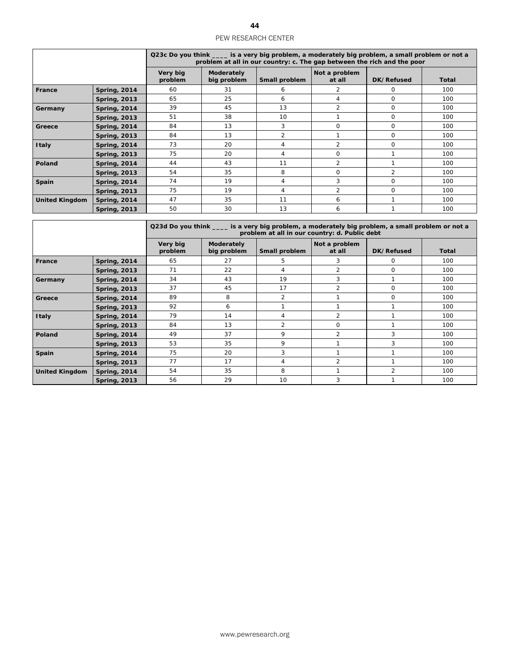|                       |                     | Q23c Do you think _____ is a very big problem, a moderately big problem, a small problem or not a<br>problem at all in our country: c. The gap between the rich and the poor |                           |               |                         |            |              |  |  |
|-----------------------|---------------------|------------------------------------------------------------------------------------------------------------------------------------------------------------------------------|---------------------------|---------------|-------------------------|------------|--------------|--|--|
|                       |                     | Very big<br>problem                                                                                                                                                          | Moderately<br>big problem | Small problem | Not a problem<br>at all | DK/Refused | <b>Total</b> |  |  |
| France                | <b>Spring, 2014</b> | 60                                                                                                                                                                           | 31                        | 6             | 2                       | $\Omega$   | 100          |  |  |
|                       | <b>Spring, 2013</b> | 65                                                                                                                                                                           | 25                        | 6             | 4                       | $\Omega$   | 100          |  |  |
| Germany               | <b>Spring, 2014</b> | 39                                                                                                                                                                           | 45                        | 13            | $\overline{2}$          | $\Omega$   | 100          |  |  |
|                       | <b>Spring, 2013</b> | 51                                                                                                                                                                           | 38                        | 10            |                         | $\Omega$   | 100          |  |  |
| Greece                | <b>Spring, 2014</b> | 84                                                                                                                                                                           | 13                        | 3             | $\Omega$                | $\Omega$   | 100          |  |  |
|                       | <b>Spring, 2013</b> | 84                                                                                                                                                                           | 13                        | 2             |                         | 0          | 100          |  |  |
| <b>Italy</b>          | <b>Spring, 2014</b> | 73                                                                                                                                                                           | 20                        | 4             | $\overline{2}$          | $\Omega$   | 100          |  |  |
|                       | <b>Spring, 2013</b> | 75                                                                                                                                                                           | 20                        | 4             | $\Omega$                |            | 100          |  |  |
| Poland                | <b>Spring, 2014</b> | 44                                                                                                                                                                           | 43                        | 11            | $\overline{2}$          |            | 100          |  |  |
|                       | <b>Spring, 2013</b> | 54                                                                                                                                                                           | 35                        | 8             | $\Omega$                | 2          | 100          |  |  |
| <b>Spain</b>          | <b>Spring, 2014</b> | 74                                                                                                                                                                           | 19                        | 4             | 3                       | $\Omega$   | 100          |  |  |
|                       | <b>Spring, 2013</b> | 75                                                                                                                                                                           | 19                        | 4             | $\overline{2}$          | $\Omega$   | 100          |  |  |
| <b>United Kingdom</b> | <b>Spring, 2014</b> | 47                                                                                                                                                                           | 35                        | 11            | 6                       |            | 100          |  |  |
|                       | <b>Spring, 2013</b> | 50                                                                                                                                                                           | 30                        | 13            | 6                       |            | 100          |  |  |

|                       |                     | Q23d Do you think ____ is a very big problem, a moderately big problem, a small problem or not a<br>problem at all in our country: d. Public debt |                           |                |                         |                   |              |  |  |
|-----------------------|---------------------|---------------------------------------------------------------------------------------------------------------------------------------------------|---------------------------|----------------|-------------------------|-------------------|--------------|--|--|
|                       |                     | Very big<br>problem                                                                                                                               | Moderately<br>big problem | Small problem  | Not a problem<br>at all | <b>DK/Refused</b> | <b>Total</b> |  |  |
| France                | <b>Spring, 2014</b> | 65                                                                                                                                                | 27                        | 5              | 3                       | $\Omega$          | 100          |  |  |
|                       | <b>Spring, 2013</b> | 71                                                                                                                                                | 22                        | 4              | $\overline{2}$          | $\Omega$          | 100          |  |  |
| Germany               | <b>Spring, 2014</b> | 34                                                                                                                                                | 43                        | 19             | 3                       |                   | 100          |  |  |
|                       | <b>Spring, 2013</b> | 37                                                                                                                                                | 45                        | 17             | 2                       | 0                 | 100          |  |  |
| Greece                | <b>Spring, 2014</b> | 89                                                                                                                                                | 8                         | 2              |                         | 0                 | 100          |  |  |
|                       | <b>Spring, 2013</b> | 92                                                                                                                                                | 6                         |                |                         |                   | 100          |  |  |
| <b>Italy</b>          | <b>Spring, 2014</b> | 79                                                                                                                                                | 14                        | 4              | $\overline{2}$          |                   | 100          |  |  |
|                       | <b>Spring, 2013</b> | 84                                                                                                                                                | 13                        | $\overline{2}$ | $\Omega$                |                   | 100          |  |  |
| Poland                | <b>Spring, 2014</b> | 49                                                                                                                                                | 37                        | 9              | $\overline{2}$          | 3                 | 100          |  |  |
|                       | <b>Spring, 2013</b> | 53                                                                                                                                                | 35                        | 9              |                         | 3                 | 100          |  |  |
| Spain                 | <b>Spring, 2014</b> | 75                                                                                                                                                | 20                        | 3              |                         |                   | 100          |  |  |
|                       | <b>Spring, 2013</b> | 77                                                                                                                                                | 17                        | 4              | $\overline{2}$          |                   | 100          |  |  |
| <b>United Kingdom</b> | <b>Spring, 2014</b> | 54                                                                                                                                                | 35                        | 8              |                         | $\overline{2}$    | 100          |  |  |
|                       | <b>Spring, 2013</b> | 56                                                                                                                                                | 29                        | 10             | 3                       |                   | 100          |  |  |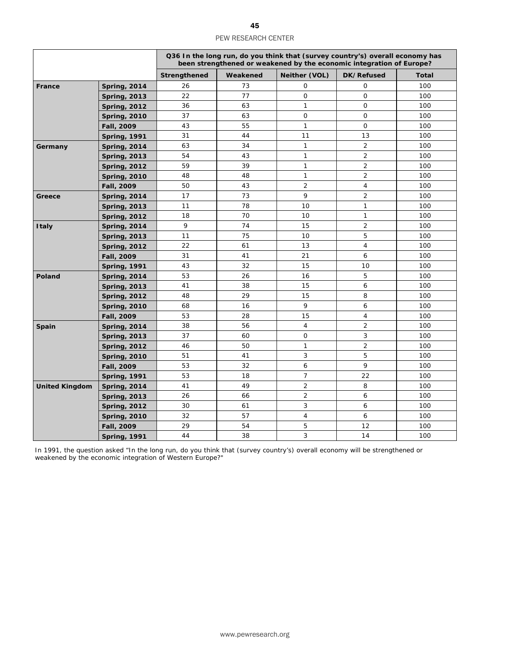|                       |                     |              |          |                | Q36 In the long run, do you think that (survey country's) overall economy has<br>been strengthened or weakened by the economic integration of Europe? |              |
|-----------------------|---------------------|--------------|----------|----------------|-------------------------------------------------------------------------------------------------------------------------------------------------------|--------------|
|                       |                     | Strengthened | Weakened | Neither (VOL)  | DK/Refused                                                                                                                                            | <b>Total</b> |
| France                | <b>Spring, 2014</b> | 26           | 73       | $\mathbf 0$    | 0                                                                                                                                                     | 100          |
|                       | <b>Spring, 2013</b> | 22           | 77       | $\mathbf 0$    | $\mathbf 0$                                                                                                                                           | 100          |
|                       | <b>Spring, 2012</b> | 36           | 63       | $\mathbf{1}$   | $\mathsf{O}$                                                                                                                                          | 100          |
|                       | <b>Spring, 2010</b> | 37           | 63       | $\mathsf{O}$   | $\mathbf 0$                                                                                                                                           | 100          |
|                       | Fall, 2009          | 43           | 55       | $\mathbf{1}$   | $\circ$                                                                                                                                               | 100          |
|                       | <b>Spring, 1991</b> | 31           | 44       | 11             | 13                                                                                                                                                    | 100          |
| Germany               | <b>Spring, 2014</b> | 63           | 34       | $\mathbf{1}$   | $\overline{2}$                                                                                                                                        | 100          |
|                       | <b>Spring, 2013</b> | 54           | 43       | $\mathbf{1}$   | 2                                                                                                                                                     | 100          |
|                       | <b>Spring, 2012</b> | 59           | 39       | 1              | $\overline{2}$                                                                                                                                        | 100          |
|                       | <b>Spring, 2010</b> | 48           | 48       | 1              | $\overline{2}$                                                                                                                                        | 100          |
|                       | Fall, 2009          | 50           | 43       | $\overline{2}$ | $\overline{4}$                                                                                                                                        | 100          |
| Greece                | <b>Spring, 2014</b> | 17           | 73       | 9              | $\overline{2}$                                                                                                                                        | 100          |
|                       | <b>Spring, 2013</b> | 11           | 78       | 10             | $\mathbf{1}$                                                                                                                                          | 100          |
|                       | <b>Spring, 2012</b> | 18           | 70       | 10             | $\mathbf{1}$                                                                                                                                          | 100          |
| <b>Italy</b>          | <b>Spring, 2014</b> | 9            | 74       | 15             | $\overline{2}$                                                                                                                                        | 100          |
|                       | <b>Spring, 2013</b> | 11           | 75       | 10             | 5                                                                                                                                                     | 100          |
|                       | <b>Spring, 2012</b> | 22           | 61       | 13             | $\overline{4}$                                                                                                                                        | 100          |
|                       | Fall, 2009          | 31           | 41       | 21             | 6                                                                                                                                                     | 100          |
|                       | <b>Spring, 1991</b> | 43           | 32       | 15             | 10                                                                                                                                                    | 100          |
| <b>Poland</b>         | <b>Spring, 2014</b> | 53           | 26       | 16             | 5                                                                                                                                                     | 100          |
|                       | <b>Spring, 2013</b> | 41           | 38       | 15             | 6                                                                                                                                                     | 100          |
|                       | <b>Spring, 2012</b> | 48           | 29       | 15             | 8                                                                                                                                                     | 100          |
|                       | <b>Spring, 2010</b> | 68           | 16       | 9              | 6                                                                                                                                                     | 100          |
|                       | <b>Fall, 2009</b>   | 53           | 28       | 15             | $\overline{4}$                                                                                                                                        | 100          |
| Spain                 | <b>Spring, 2014</b> | 38           | 56       | $\overline{4}$ | 2                                                                                                                                                     | 100          |
|                       | <b>Spring, 2013</b> | 37           | 60       | $\mathbf 0$    | 3                                                                                                                                                     | 100          |
|                       | <b>Spring, 2012</b> | 46           | 50       | $\mathbf{1}$   | 2                                                                                                                                                     | 100          |
|                       | <b>Spring, 2010</b> | 51           | 41       | 3              | 5                                                                                                                                                     | 100          |
|                       | Fall, 2009          | 53           | 32       | 6              | 9                                                                                                                                                     | 100          |
|                       | <b>Spring, 1991</b> | 53           | 18       | $\overline{7}$ | 22                                                                                                                                                    | 100          |
| <b>United Kingdom</b> | <b>Spring, 2014</b> | 41           | 49       | $\overline{2}$ | 8                                                                                                                                                     | 100          |
|                       | <b>Spring, 2013</b> | 26           | 66       | $\overline{2}$ | 6                                                                                                                                                     | 100          |
|                       | <b>Spring, 2012</b> | 30           | 61       | 3              | 6                                                                                                                                                     | 100          |
|                       | <b>Spring, 2010</b> | 32           | 57       | $\overline{4}$ | 6                                                                                                                                                     | 100          |
|                       | Fall, 2009          | 29           | 54       | 5              | 12                                                                                                                                                    | 100          |
|                       | <b>Spring, 1991</b> | 44           | 38       | 3              | 14                                                                                                                                                    | 100          |

In 1991, the question asked "In the long run, do you think that (survey country's) overall economy will be strengthened or weakened by the economic integration of Western Europe?"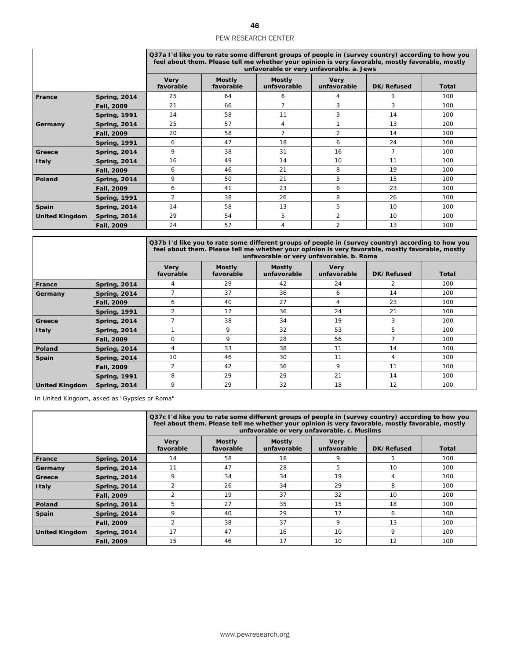|                       |                     | Q37a I'd like you to rate some different groups of people in (survey country) according to how you<br>feel about them. Please tell me whether your opinion is very favorable, mostly favorable, mostly<br>unfavorable or very unfavorable. a. Jews |                            |                              |                            |            |              |  |  |
|-----------------------|---------------------|----------------------------------------------------------------------------------------------------------------------------------------------------------------------------------------------------------------------------------------------------|----------------------------|------------------------------|----------------------------|------------|--------------|--|--|
|                       |                     | <b>Very</b><br>favorable                                                                                                                                                                                                                           | <b>Mostly</b><br>favorable | <b>Mostly</b><br>unfavorable | <b>Very</b><br>unfavorable | DK/Refused | <b>Total</b> |  |  |
| France                | <b>Spring, 2014</b> | 25                                                                                                                                                                                                                                                 | 64                         | 6                            | 4                          |            | 100          |  |  |
|                       | Fall, 2009          | 21                                                                                                                                                                                                                                                 | 66                         | 7                            | 3                          | 3          | 100          |  |  |
|                       | <b>Spring, 1991</b> | 14                                                                                                                                                                                                                                                 | 58                         | 11                           | 3                          | 14         | 100          |  |  |
| Germany               | <b>Spring, 2014</b> | 25                                                                                                                                                                                                                                                 | 57                         | 4                            |                            | 13         | 100          |  |  |
|                       | Fall, 2009          | 20                                                                                                                                                                                                                                                 | 58                         | $\overline{7}$               | $\overline{2}$             | 14         | 100          |  |  |
|                       | <b>Spring, 1991</b> | 6                                                                                                                                                                                                                                                  | 47                         | 18                           | 6                          | 24         | 100          |  |  |
| Greece                | <b>Spring, 2014</b> | 9                                                                                                                                                                                                                                                  | 38                         | 31                           | 16                         | 7          | 100          |  |  |
| <b>Italy</b>          | <b>Spring, 2014</b> | 16                                                                                                                                                                                                                                                 | 49                         | 14                           | 10                         | 11         | 100          |  |  |
|                       | Fall, 2009          | 6                                                                                                                                                                                                                                                  | 46                         | 21                           | 8                          | 19         | 100          |  |  |
| Poland                | <b>Spring, 2014</b> | 9                                                                                                                                                                                                                                                  | 50                         | 21                           | 5                          | 15         | 100          |  |  |
|                       | Fall, 2009          | 6                                                                                                                                                                                                                                                  | 41                         | 23                           | 6                          | 23         | 100          |  |  |
|                       | <b>Spring, 1991</b> | 2                                                                                                                                                                                                                                                  | 38                         | 26                           | 8                          | 26         | 100          |  |  |
| Spain                 | <b>Spring, 2014</b> | 14                                                                                                                                                                                                                                                 | 58                         | 13                           | 5                          | 10         | 100          |  |  |
| <b>United Kingdom</b> | <b>Spring, 2014</b> | 29                                                                                                                                                                                                                                                 | 54                         | 5                            | 2                          | 10         | 100          |  |  |
|                       | Fall, 2009          | 24                                                                                                                                                                                                                                                 | 57                         | 4                            | $\overline{2}$             | 13         | 100          |  |  |

|                       |                     | Q37b I'd like you to rate some different groups of people in (survey country) according to how you<br>feel about them. Please tell me whether your opinion is very favorable, mostly favorable, mostly<br>unfavorable or very unfavorable. b. Roma |                            |                              |                            |                |              |  |  |
|-----------------------|---------------------|----------------------------------------------------------------------------------------------------------------------------------------------------------------------------------------------------------------------------------------------------|----------------------------|------------------------------|----------------------------|----------------|--------------|--|--|
|                       |                     | <b>Very</b><br>favorable                                                                                                                                                                                                                           | <b>Mostly</b><br>favorable | <b>Mostly</b><br>unfavorable | <b>Very</b><br>unfavorable | DK/Refused     | <b>Total</b> |  |  |
| France                | <b>Spring, 2014</b> |                                                                                                                                                                                                                                                    | 29                         | 42                           | 24                         | 2              | 100          |  |  |
| Germany               | <b>Spring, 2014</b> |                                                                                                                                                                                                                                                    | 37                         | 36                           | 6                          | 14             | 100          |  |  |
|                       | Fall, 2009          | 6                                                                                                                                                                                                                                                  | 40                         | 27                           | 4                          | 23             | 100          |  |  |
|                       | <b>Spring, 1991</b> | $\overline{2}$                                                                                                                                                                                                                                     | 17                         | 36                           | 24                         | 21             | 100          |  |  |
| Greece                | <b>Spring, 2014</b> |                                                                                                                                                                                                                                                    | 38                         | 34                           | 19                         | 3              | 100          |  |  |
| <b>Italy</b>          | <b>Spring, 2014</b> |                                                                                                                                                                                                                                                    | 9                          | 32                           | 53                         | 5              | 100          |  |  |
|                       | Fall, 2009          | 0                                                                                                                                                                                                                                                  | 9                          | 28                           | 56                         | $\overline{7}$ | 100          |  |  |
| <b>Poland</b>         | <b>Spring, 2014</b> | 4                                                                                                                                                                                                                                                  | 33                         | 38                           | 11                         | 14             | 100          |  |  |
| Spain                 | <b>Spring, 2014</b> | 10                                                                                                                                                                                                                                                 | 46                         | 30                           | 11                         | 4              | 100          |  |  |
|                       | Fall, 2009          | $\overline{2}$                                                                                                                                                                                                                                     | 42                         | 36                           | 9                          | 11             | 100          |  |  |
|                       | <b>Spring, 1991</b> | 8                                                                                                                                                                                                                                                  | 29                         | 29                           | 21                         | 14             | 100          |  |  |
| <b>United Kingdom</b> | <b>Spring, 2014</b> | 9                                                                                                                                                                                                                                                  | 29                         | 32                           | 18                         | 12             | 100          |  |  |

In United Kingdom, asked as "Gypsies or Roma"

|                       |                     | Q37c I'd like you to rate some different groups of people in (survey country) according to how you<br>feel about them. Please tell me whether your opinion is very favorable, mostly favorable, mostly<br>unfavorable or very unfavorable. c. Muslims |                            |                              |                            |            |       |  |  |
|-----------------------|---------------------|-------------------------------------------------------------------------------------------------------------------------------------------------------------------------------------------------------------------------------------------------------|----------------------------|------------------------------|----------------------------|------------|-------|--|--|
|                       |                     | <b>Very</b><br>favorable                                                                                                                                                                                                                              | <b>Mostly</b><br>favorable | <b>Mostly</b><br>unfavorable | <b>Very</b><br>unfavorable | DK/Refused | Total |  |  |
| France                | <b>Spring, 2014</b> | 14                                                                                                                                                                                                                                                    | 58                         | 18                           | 9                          |            | 100   |  |  |
| Germany               | <b>Spring, 2014</b> | 11                                                                                                                                                                                                                                                    | 47                         | 28                           | 5                          | 10         | 100   |  |  |
| Greece                | <b>Spring, 2014</b> | 9                                                                                                                                                                                                                                                     | 34                         | 34                           | 19                         | 4          | 100   |  |  |
| <b>Italy</b>          | <b>Spring, 2014</b> | 2                                                                                                                                                                                                                                                     | 26                         | 34                           | 29                         | 8          | 100   |  |  |
|                       | Fall, 2009          | $\overline{2}$                                                                                                                                                                                                                                        | 19                         | 37                           | 32                         | 10         | 100   |  |  |
| Poland                | <b>Spring, 2014</b> | 5                                                                                                                                                                                                                                                     | 27                         | 35                           | 15                         | 18         | 100   |  |  |
| <b>Spain</b>          | <b>Spring, 2014</b> | 9                                                                                                                                                                                                                                                     | 40                         | 29                           | 17                         | 6          | 100   |  |  |
|                       | Fall, 2009          | $\overline{2}$                                                                                                                                                                                                                                        | 38                         | 37                           | 9                          | 13         | 100   |  |  |
| <b>United Kingdom</b> | <b>Spring, 2014</b> | 17                                                                                                                                                                                                                                                    | 47                         | 16                           | 10                         | 9          | 100   |  |  |
|                       | Fall, 2009          | 15                                                                                                                                                                                                                                                    | 46                         | 17                           | 10                         | 12         | 100   |  |  |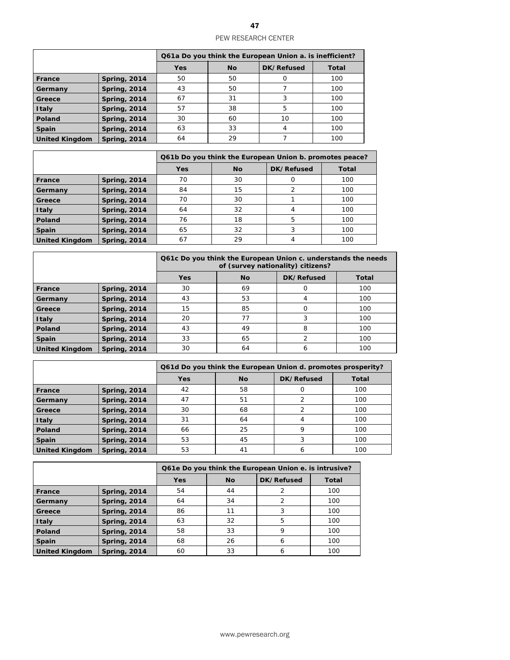|                       |                     | Q61a Do you think the European Union a. is inefficient? |           |            |       |  |
|-----------------------|---------------------|---------------------------------------------------------|-----------|------------|-------|--|
|                       |                     | <b>Yes</b>                                              | <b>No</b> | DK/Refused | Total |  |
| France                | <b>Spring, 2014</b> | 50                                                      | 50        |            | 100   |  |
| Germany               | <b>Spring, 2014</b> | 43                                                      | 50        |            | 100   |  |
| Greece                | <b>Spring, 2014</b> | 67                                                      | 31        |            | 100   |  |
| <b>Italy</b>          | <b>Spring, 2014</b> | 57                                                      | 38        | 5          | 100   |  |
| Poland                | <b>Spring, 2014</b> | 30                                                      | 60        | 10         | 100   |  |
| Spain                 | <b>Spring, 2014</b> | 63                                                      | 33        | 4          | 100   |  |
| <b>United Kingdom</b> | <b>Spring, 2014</b> | 64                                                      | 29        |            | 100   |  |

|                       |                     | Q61b Do you think the European Union b. promotes peace? |           |            |       |  |
|-----------------------|---------------------|---------------------------------------------------------|-----------|------------|-------|--|
|                       |                     | <b>Yes</b>                                              | <b>No</b> | DK/Refused | Total |  |
| <b>France</b>         | <b>Spring, 2014</b> | 70                                                      | 30        | Ω          | 100   |  |
| Germany               | <b>Spring, 2014</b> | 84                                                      | 15        | 2          | 100   |  |
| Greece                | <b>Spring, 2014</b> | 70                                                      | 30        |            | 100   |  |
| Italy                 | <b>Spring, 2014</b> | 64                                                      | 32        | 4          | 100   |  |
| Poland                | <b>Spring, 2014</b> | 76                                                      | 18        | 5          | 100   |  |
| Spain                 | <b>Spring, 2014</b> | 65                                                      | 32        | 3          | 100   |  |
| <b>United Kingdom</b> | <b>Spring, 2014</b> | 67                                                      | 29        | 4          | 100   |  |

|                       |                     |            | Q61c Do you think the European Union c. understands the needs<br>of (survey nationality) citizens? |               |              |  |  |  |
|-----------------------|---------------------|------------|----------------------------------------------------------------------------------------------------|---------------|--------------|--|--|--|
|                       |                     | <b>Yes</b> | <b>No</b>                                                                                          | DK/Refused    | <b>Total</b> |  |  |  |
| France                | <b>Spring, 2014</b> | 30         | 69                                                                                                 | Ο             | 100          |  |  |  |
| Germany               | <b>Spring, 2014</b> | 43         | 53                                                                                                 | 4             | 100          |  |  |  |
| Greece                | <b>Spring, 2014</b> | 15         | 85                                                                                                 | 0             | 100          |  |  |  |
| <b>Italy</b>          | <b>Spring, 2014</b> | 20         | 77                                                                                                 | 3             | 100          |  |  |  |
| Poland                | <b>Spring, 2014</b> | 43         | 49                                                                                                 | 8             | 100          |  |  |  |
| Spain                 | <b>Spring, 2014</b> | 33         | 65                                                                                                 | $\mathcal{P}$ | 100          |  |  |  |
| <b>United Kingdom</b> | <b>Spring, 2014</b> | 30         | 64                                                                                                 | 6             | 100          |  |  |  |

|                       |                     |            |           |            | Q61d Do you think the European Union d. promotes prosperity? |  |  |  |
|-----------------------|---------------------|------------|-----------|------------|--------------------------------------------------------------|--|--|--|
|                       |                     | <b>Yes</b> | <b>No</b> | DK/Refused | <b>Total</b>                                                 |  |  |  |
| France                | <b>Spring, 2014</b> | 42         | 58        | 0          | 100                                                          |  |  |  |
| Germany               | <b>Spring, 2014</b> | 47         | 51        | 2          | 100                                                          |  |  |  |
| Greece                | <b>Spring, 2014</b> | 30         | 68        | 2          | 100                                                          |  |  |  |
| <b>Italy</b>          | <b>Spring, 2014</b> | 31         | 64        | 4          | 100                                                          |  |  |  |
| Poland                | <b>Spring, 2014</b> | 66         | 25        | 9          | 100                                                          |  |  |  |
| Spain                 | <b>Spring, 2014</b> | 53         | 45        | 3          | 100                                                          |  |  |  |
| <b>United Kingdom</b> | <b>Spring, 2014</b> | 53         | 41        | 6          | 100                                                          |  |  |  |

|                       |                     | Q61e Do you think the European Union e. is intrusive? |           |            |       |  |
|-----------------------|---------------------|-------------------------------------------------------|-----------|------------|-------|--|
|                       |                     | <b>Yes</b>                                            | <b>No</b> | DK/Refused | Total |  |
| France                | <b>Spring, 2014</b> | 54                                                    | 44        |            | 100   |  |
| Germany               | <b>Spring, 2014</b> | 64                                                    | 34        | 2          | 100   |  |
| Greece                | <b>Spring, 2014</b> | 86                                                    | 11        |            | 100   |  |
| <b>Italy</b>          | <b>Spring, 2014</b> | 63                                                    | 32        | 5          | 100   |  |
| Poland                | <b>Spring, 2014</b> | 58                                                    | 33        | 9          | 100   |  |
| <b>Spain</b>          | <b>Spring, 2014</b> | 68                                                    | 26        | 6          | 100   |  |
| <b>United Kingdom</b> | <b>Spring, 2014</b> | 60                                                    | 33        | 6          | 100   |  |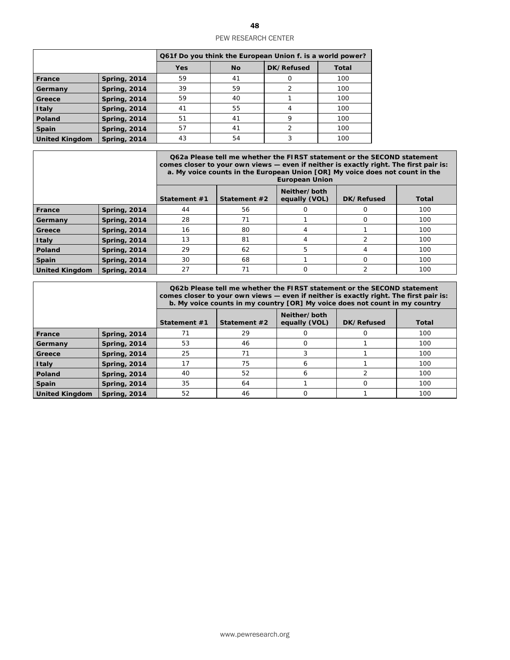|                       |                     | Q61f Do you think the European Union f. is a world power? |    |            |              |  |
|-----------------------|---------------------|-----------------------------------------------------------|----|------------|--------------|--|
|                       |                     | <b>Yes</b>                                                | No | DK/Refused | <b>Total</b> |  |
| France                | <b>Spring, 2014</b> | 59                                                        | 41 | $\Omega$   | 100          |  |
| Germany               | <b>Spring, 2014</b> | 39                                                        | 59 | 2          | 100          |  |
| Greece                | <b>Spring, 2014</b> | 59                                                        | 40 |            | 100          |  |
| <b>Italy</b>          | <b>Spring, 2014</b> | 41                                                        | 55 | 4          | 100          |  |
| Poland                | <b>Spring, 2014</b> | 51                                                        | 41 | 9          | 100          |  |
| Spain                 | <b>Spring, 2014</b> | 57                                                        | 41 | 2          | 100          |  |
| <b>United Kingdom</b> | <b>Spring, 2014</b> | 43                                                        | 54 |            | 100          |  |

|                       |                     | Q62a Please tell me whether the FIRST statement or the SECOND statement<br>comes closer to your own views — even if neither is exactly right. The first pair is:<br>a. My voice counts in the European Union [OR] My voice does not count in the<br><b>European Union</b> |              |                               |            |              |  |  |
|-----------------------|---------------------|---------------------------------------------------------------------------------------------------------------------------------------------------------------------------------------------------------------------------------------------------------------------------|--------------|-------------------------------|------------|--------------|--|--|
|                       |                     | Statement #1                                                                                                                                                                                                                                                              | Statement #2 | Neither/both<br>equally (VOL) | DK/Refused | <b>Total</b> |  |  |
| France                | <b>Spring, 2014</b> | 44                                                                                                                                                                                                                                                                        | 56           |                               |            | 100          |  |  |
| Germany               | <b>Spring, 2014</b> | 28                                                                                                                                                                                                                                                                        | 71           |                               | O          | 100          |  |  |
| Greece                | <b>Spring, 2014</b> | 16                                                                                                                                                                                                                                                                        | 80           | 4                             |            | 100          |  |  |
| <b>Italy</b>          | <b>Spring, 2014</b> | 13                                                                                                                                                                                                                                                                        | 81           | 4                             |            | 100          |  |  |
| Poland                | <b>Spring, 2014</b> | 29                                                                                                                                                                                                                                                                        | 62           | 5                             | 4          | 100          |  |  |
| <b>Spain</b>          | <b>Spring, 2014</b> | 30<br>68<br>$\Omega$<br>100                                                                                                                                                                                                                                               |              |                               |            |              |  |  |
| <b>United Kingdom</b> | <b>Spring, 2014</b> | 27                                                                                                                                                                                                                                                                        | 71           | $\Omega$                      |            | 100          |  |  |

|                       |                     | Q62b Please tell me whether the FIRST statement or the SECOND statement<br>comes closer to your own views — even if neither is exactly right. The first pair is:<br>b. My voice counts in my country [OR] My voice does not count in my country |              |                               |            |              |  |  |
|-----------------------|---------------------|-------------------------------------------------------------------------------------------------------------------------------------------------------------------------------------------------------------------------------------------------|--------------|-------------------------------|------------|--------------|--|--|
|                       |                     | Statement #1                                                                                                                                                                                                                                    | Statement #2 | Neither/both<br>equally (VOL) | DK/Refused | <b>Total</b> |  |  |
| France                | <b>Spring, 2014</b> | 71                                                                                                                                                                                                                                              | 29           |                               |            | 100          |  |  |
| Germany               | <b>Spring, 2014</b> | 53                                                                                                                                                                                                                                              | 46           | Ω                             |            | 100          |  |  |
| Greece                | <b>Spring, 2014</b> | 25                                                                                                                                                                                                                                              | 71           |                               |            | 100          |  |  |
| <b>Italy</b>          | <b>Spring, 2014</b> | 17                                                                                                                                                                                                                                              | 75           | 6                             |            | 100          |  |  |
| Poland                | <b>Spring, 2014</b> | 40                                                                                                                                                                                                                                              | 52           | 6                             |            | 100          |  |  |
| <b>Spain</b>          | <b>Spring, 2014</b> | 35<br>64<br>100<br>O                                                                                                                                                                                                                            |              |                               |            |              |  |  |
| <b>United Kingdom</b> | <b>Spring, 2014</b> | 52                                                                                                                                                                                                                                              | 46           | ი                             |            | 100          |  |  |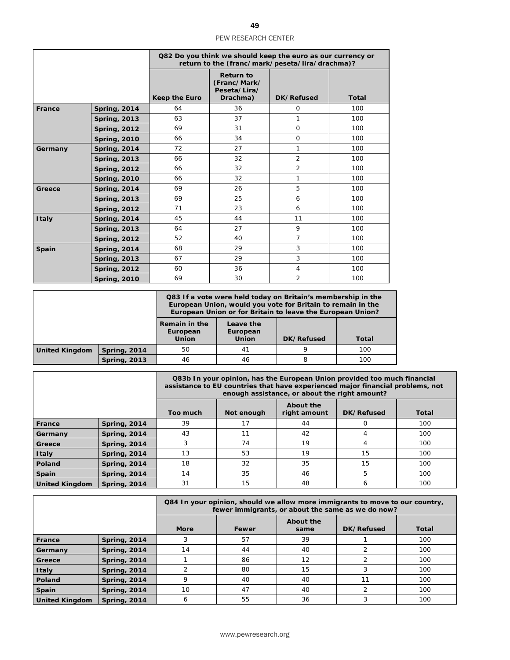|              |                     | Q82 Do you think we should keep the euro as our currency or<br>return to the (franc/mark/peseta/lira/drachma)? |                                                              |                |              |  |  |
|--------------|---------------------|----------------------------------------------------------------------------------------------------------------|--------------------------------------------------------------|----------------|--------------|--|--|
|              |                     | <b>Keep the Euro</b>                                                                                           | <b>Return to</b><br>(Franc/Mark/<br>Peseta/Lira/<br>Drachma) | DK/Refused     | <b>Total</b> |  |  |
| France       | <b>Spring, 2014</b> | 64                                                                                                             | 36                                                           | $\Omega$       | 100          |  |  |
|              | <b>Spring, 2013</b> | 63                                                                                                             | 37                                                           | 1              | 100          |  |  |
|              | <b>Spring, 2012</b> | 69                                                                                                             | 31                                                           | $\Omega$       | 100          |  |  |
|              | <b>Spring, 2010</b> | 66                                                                                                             | 34                                                           | $\Omega$       | 100          |  |  |
| Germany      | <b>Spring, 2014</b> | 72                                                                                                             | 27                                                           | 1              | 100          |  |  |
|              | <b>Spring, 2013</b> | 66                                                                                                             | 32                                                           | $\overline{2}$ | 100          |  |  |
|              | <b>Spring, 2012</b> | 66                                                                                                             | 32                                                           | $\overline{2}$ | 100          |  |  |
|              | <b>Spring, 2010</b> | 66                                                                                                             | 32                                                           | 1              | 100          |  |  |
| Greece       | <b>Spring, 2014</b> | 69                                                                                                             | 26                                                           | 5              | 100          |  |  |
|              | <b>Spring, 2013</b> | 69                                                                                                             | 25                                                           | 6              | 100          |  |  |
|              | <b>Spring, 2012</b> | 71                                                                                                             | 23                                                           | 6              | 100          |  |  |
| <b>Italy</b> | <b>Spring, 2014</b> | 45                                                                                                             | 44                                                           | 11             | 100          |  |  |
|              | <b>Spring, 2013</b> | 64                                                                                                             | 27                                                           | 9              | 100          |  |  |
|              | <b>Spring, 2012</b> | 52                                                                                                             | 40                                                           | $\overline{7}$ | 100          |  |  |
| Spain        | <b>Spring, 2014</b> | 68                                                                                                             | 29                                                           | 3              | 100          |  |  |
|              | <b>Spring, 2013</b> | 67                                                                                                             | 29                                                           | 3              | 100          |  |  |
|              | <b>Spring, 2012</b> | 60                                                                                                             | 36                                                           | $\overline{4}$ | 100          |  |  |
|              | <b>Spring, 2010</b> | 69                                                                                                             | 30                                                           | $\overline{2}$ | 100          |  |  |

|                       |                     | Q83 If a vote were held today on Britain's membership in the<br>European Union, would you vote for Britain to remain in the<br>European Union or for Britain to leave the European Union? |                                       |            |       |  |
|-----------------------|---------------------|-------------------------------------------------------------------------------------------------------------------------------------------------------------------------------------------|---------------------------------------|------------|-------|--|
|                       |                     | Remain in the<br>European<br><b>Union</b>                                                                                                                                                 | Leave the<br>European<br><b>Union</b> | DK/Refused | Total |  |
| <b>United Kingdom</b> | <b>Spring, 2014</b> | 50                                                                                                                                                                                        | 41                                    | 9          | 100   |  |
|                       | <b>Spring, 2013</b> | 46                                                                                                                                                                                        | 46                                    | 8          | 100   |  |

|                       |                     | Q83b In your opinion, has the European Union provided too much financial<br>assistance to EU countries that have experienced major financial problems, not<br>enough assistance, or about the right amount? |            |                           |            |       |  |
|-----------------------|---------------------|-------------------------------------------------------------------------------------------------------------------------------------------------------------------------------------------------------------|------------|---------------------------|------------|-------|--|
|                       |                     | Too much                                                                                                                                                                                                    | Not enough | About the<br>right amount | DK/Refused | Total |  |
| <b>France</b>         | <b>Spring, 2014</b> | 39                                                                                                                                                                                                          | 17         | 44                        |            | 100   |  |
| Germany               | <b>Spring, 2014</b> | 43                                                                                                                                                                                                          | 11         | 42                        | 4          | 100   |  |
| Greece                | <b>Spring, 2014</b> |                                                                                                                                                                                                             | 74         | 19                        | 4          | 100   |  |
| <b>Italy</b>          | <b>Spring, 2014</b> | 13                                                                                                                                                                                                          | 53         | 19                        | 15         | 100   |  |
| Poland                | <b>Spring, 2014</b> | 18                                                                                                                                                                                                          | 32         | 35                        | 15         | 100   |  |
| Spain                 | <b>Spring, 2014</b> | 14                                                                                                                                                                                                          | 35         | 46                        | 5          | 100   |  |
| <b>United Kingdom</b> | <b>Spring, 2014</b> | 31                                                                                                                                                                                                          | 15         | 48                        | 6          | 100   |  |

|                       |                     |             | Q84 In your opinion, should we allow more immigrants to move to our country,<br>fewer immigrants, or about the same as we do now? |                          |            |              |  |  |
|-----------------------|---------------------|-------------|-----------------------------------------------------------------------------------------------------------------------------------|--------------------------|------------|--------------|--|--|
|                       |                     | <b>More</b> | Fewer                                                                                                                             | <b>About the</b><br>same | DK/Refused | <b>Total</b> |  |  |
| <b>France</b>         | <b>Spring, 2014</b> |             | 57                                                                                                                                | 39                       |            | 100          |  |  |
| Germany               | <b>Spring, 2014</b> | 14          | 44                                                                                                                                | 40                       |            | 100          |  |  |
| Greece                | <b>Spring, 2014</b> |             | 86                                                                                                                                | 12                       |            | 100          |  |  |
| <b>Italy</b>          | <b>Spring, 2014</b> |             | 80                                                                                                                                | 15                       |            | 100          |  |  |
| Poland                | <b>Spring, 2014</b> | Q           | 40                                                                                                                                | 40                       | 11         | 100          |  |  |
| Spain                 | <b>Spring, 2014</b> | 10          | 47                                                                                                                                | 40                       | ∍          | 100          |  |  |
| <b>United Kingdom</b> | <b>Spring, 2014</b> | 6           | 55                                                                                                                                | 36                       |            | 100          |  |  |